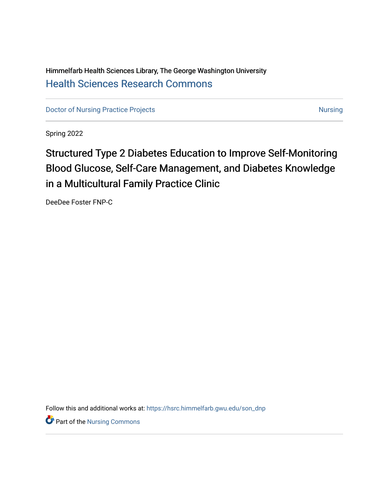Himmelfarb Health Sciences Library, The George Washington University [Health Sciences Research Commons](https://hsrc.himmelfarb.gwu.edu/) 

[Doctor of Nursing Practice Projects](https://hsrc.himmelfarb.gwu.edu/son_dnp) [Nursing](https://hsrc.himmelfarb.gwu.edu/son_nurs) Nursing Nursing

Spring 2022

# Structured Type 2 Diabetes Education to Improve Self-Monitoring Blood Glucose, Self-Care Management, and Diabetes Knowledge in a Multicultural Family Practice Clinic

DeeDee Foster FNP-C

Follow this and additional works at: [https://hsrc.himmelfarb.gwu.edu/son\\_dnp](https://hsrc.himmelfarb.gwu.edu/son_dnp?utm_source=hsrc.himmelfarb.gwu.edu%2Fson_dnp%2F110&utm_medium=PDF&utm_campaign=PDFCoverPages)

Part of the [Nursing Commons](http://network.bepress.com/hgg/discipline/718?utm_source=hsrc.himmelfarb.gwu.edu%2Fson_dnp%2F110&utm_medium=PDF&utm_campaign=PDFCoverPages)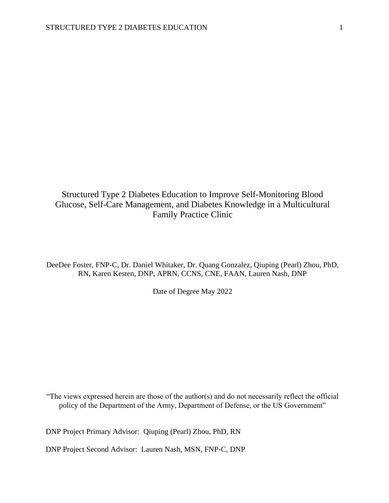### Structured Type 2 Diabetes Education to Improve Self-Monitoring Blood Glucose, Self-Care Management, and Diabetes Knowledge in a Multicultural Family Practice Clinic

DeeDee Foster, FNP-C, Dr. Daniel Whitaker, Dr. Quang Gonzalez, Qiuping (Pearl) Zhou, PhD, RN, Karen Kesten, DNP, APRN, CCNS, CNE, FAAN, Lauren Nash, DNP

Date of Degree May 2022

"The views expressed herein are those of the author(s) and do not necessarily reflect the official policy of the Department of the Army, Department of Defense, or the US Government"

DNP Project Primary Advisor: Qiuping (Pearl) Zhou, PhD, RN

DNP Project Second Advisor: Lauren Nash, MSN, FNP-C, DNP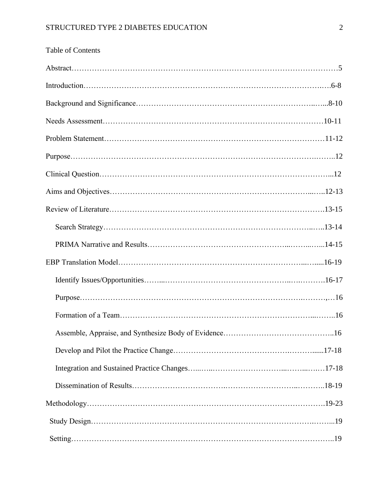| <b>Table of Contents</b> |
|--------------------------|
|                          |
|                          |
|                          |
|                          |
|                          |
|                          |
|                          |
|                          |
|                          |
|                          |
|                          |
|                          |
|                          |
|                          |
|                          |
|                          |
|                          |
|                          |
|                          |
|                          |
|                          |
|                          |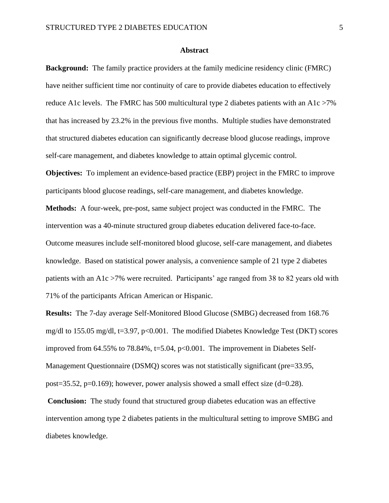#### **Abstract**

**Background:** The family practice providers at the family medicine residency clinic (FMRC) have neither sufficient time nor continuity of care to provide diabetes education to effectively reduce A1c levels. The FMRC has 500 multicultural type 2 diabetes patients with an A1c >7% that has increased by 23.2% in the previous five months. Multiple studies have demonstrated that structured diabetes education can significantly decrease blood glucose readings, improve self-care management, and diabetes knowledge to attain optimal glycemic control.

**Objectives:** To implement an evidence-based practice (EBP) project in the FMRC to improve participants blood glucose readings, self-care management, and diabetes knowledge.

**Methods:** A four-week, pre-post, same subject project was conducted in the FMRC. The intervention was a 40-minute structured group diabetes education delivered face-to-face. Outcome measures include self-monitored blood glucose, self-care management, and diabetes knowledge. Based on statistical power analysis, a convenience sample of 21 type 2 diabetes patients with an A1c >7% were recruited. Participants' age ranged from 38 to 82 years old with 71% of the participants African American or Hispanic.

**Results:** The 7-day average Self-Monitored Blood Glucose (SMBG) decreased from 168.76 mg/dl to 155.05 mg/dl, t=3.97, p<0.001. The modified Diabetes Knowledge Test (DKT) scores improved from  $64.55\%$  to 78.84%, t=5.04, p<0.001. The improvement in Diabetes Self-Management Questionnaire (DSMQ) scores was not statistically significant (pre=33.95, post=35.52, p=0.169); however, power analysis showed a small effect size  $(d=0.28)$ .

**Conclusion:** The study found that structured group diabetes education was an effective intervention among type 2 diabetes patients in the multicultural setting to improve SMBG and diabetes knowledge.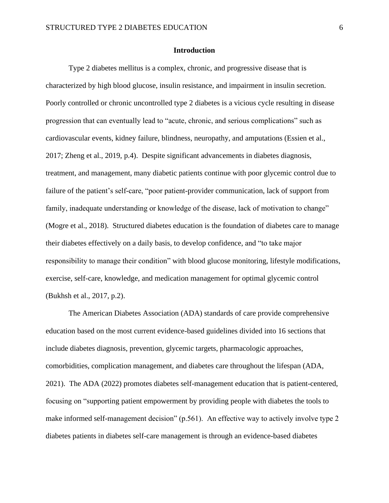#### **Introduction**

Type 2 diabetes mellitus is a complex, chronic, and progressive disease that is characterized by high blood glucose, insulin resistance, and impairment in insulin secretion. Poorly controlled or chronic uncontrolled type 2 diabetes is a vicious cycle resulting in disease progression that can eventually lead to "acute, chronic, and serious complications" such as cardiovascular events, kidney failure, blindness, neuropathy, and amputations (Essien et al., 2017; Zheng et al., 2019, p.4). Despite significant advancements in diabetes diagnosis, treatment, and management, many diabetic patients continue with poor glycemic control due to failure of the patient's self-care, "poor patient-provider communication, lack of support from family, inadequate understanding or knowledge of the disease, lack of motivation to change" (Mogre et al., 2018). Structured diabetes education is the foundation of diabetes care to manage their diabetes effectively on a daily basis, to develop confidence, and "to take major responsibility to manage their condition" with blood glucose monitoring, lifestyle modifications, exercise, self-care, knowledge, and medication management for optimal glycemic control (Bukhsh et al., 2017, p.2).

The American Diabetes Association (ADA) standards of care provide comprehensive education based on the most current evidence-based guidelines divided into 16 sections that include diabetes diagnosis, prevention, glycemic targets, pharmacologic approaches, comorbidities, complication management, and diabetes care throughout the lifespan (ADA, 2021). The ADA (2022) promotes diabetes self-management education that is patient-centered, focusing on "supporting patient empowerment by providing people with diabetes the tools to make informed self-management decision" (p.561). An effective way to actively involve type 2 diabetes patients in diabetes self-care management is through an evidence-based diabetes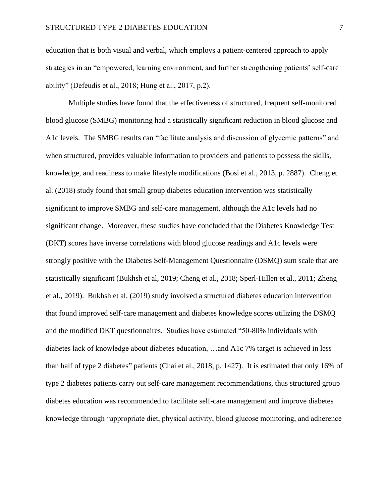education that is both visual and verbal, which employs a patient-centered approach to apply strategies in an "empowered, learning environment, and further strengthening patients' self-care ability" (Defeudis et al., 2018; Hung et al., 2017, p.2).

Multiple studies have found that the effectiveness of structured, frequent self-monitored blood glucose (SMBG) monitoring had a statistically significant reduction in blood glucose and A1c levels. The SMBG results can "facilitate analysis and discussion of glycemic patterns" and when structured, provides valuable information to providers and patients to possess the skills, knowledge, and readiness to make lifestyle modifications (Bosi et al., 2013, p. 2887). Cheng et al. (2018) study found that small group diabetes education intervention was statistically significant to improve SMBG and self-care management, although the A1c levels had no significant change. Moreover, these studies have concluded that the Diabetes Knowledge Test (DKT) scores have inverse correlations with blood glucose readings and A1c levels were strongly positive with the Diabetes Self-Management Questionnaire (DSMQ) sum scale that are statistically significant (Bukhsh et al, 2019; Cheng et al., 2018; Sperl-Hillen et al., 2011; Zheng et al., 2019). Bukhsh et al. (2019) study involved a structured diabetes education intervention that found improved self-care management and diabetes knowledge scores utilizing the DSMQ and the modified DKT questionnaires. Studies have estimated "50-80% individuals with diabetes lack of knowledge about diabetes education, …and A1c 7% target is achieved in less than half of type 2 diabetes" patients (Chai et al., 2018, p. 1427). It is estimated that only 16% of type 2 diabetes patients carry out self-care management recommendations, thus structured group diabetes education was recommended to facilitate self-care management and improve diabetes knowledge through "appropriate diet, physical activity, blood glucose monitoring, and adherence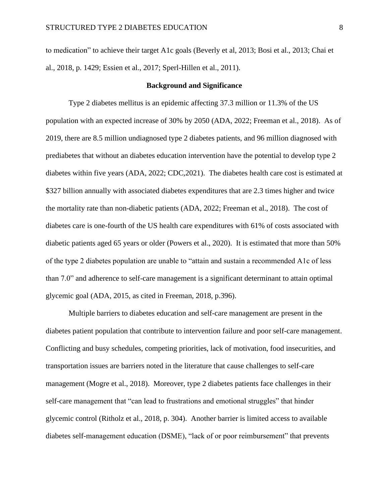to medication" to achieve their target A1c goals (Beverly et al, 2013; Bosi et al., 2013; Chai et al., 2018, p. 1429; Essien et al., 2017; Sperl-Hillen et al., 2011).

#### **Background and Significance**

Type 2 diabetes mellitus is an epidemic affecting 37.3 million or 11.3% of the US population with an expected increase of 30% by 2050 (ADA, 2022; Freeman et al., 2018). As of 2019, there are 8.5 million undiagnosed type 2 diabetes patients, and 96 million diagnosed with prediabetes that without an diabetes education intervention have the potential to develop type 2 diabetes within five years (ADA, 2022; CDC,2021). The diabetes health care cost is estimated at \$327 billion annually with associated diabetes expenditures that are 2.3 times higher and twice the mortality rate than non-diabetic patients (ADA, 2022; Freeman et al., 2018). The cost of diabetes care is one-fourth of the US health care expenditures with 61% of costs associated with diabetic patients aged 65 years or older (Powers et al., 2020). It is estimated that more than 50% of the type 2 diabetes population are unable to "attain and sustain a recommended A1c of less than 7.0" and adherence to self-care management is a significant determinant to attain optimal glycemic goal (ADA, 2015, as cited in Freeman, 2018, p.396).

Multiple barriers to diabetes education and self-care management are present in the diabetes patient population that contribute to intervention failure and poor self-care management. Conflicting and busy schedules, competing priorities, lack of motivation, food insecurities, and transportation issues are barriers noted in the literature that cause challenges to self-care management (Mogre et al., 2018). Moreover, type 2 diabetes patients face challenges in their self-care management that "can lead to frustrations and emotional struggles" that hinder glycemic control (Ritholz et al., 2018, p. 304). Another barrier is limited access to available diabetes self-management education (DSME), "lack of or poor reimbursement" that prevents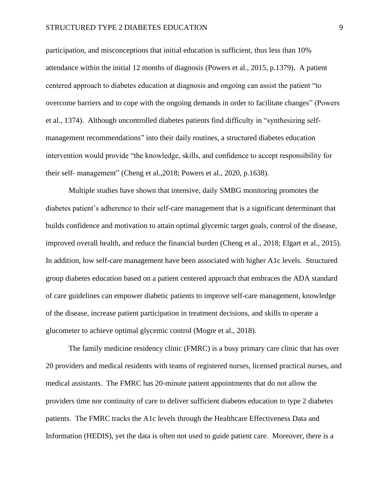participation, and misconceptions that initial education is sufficient, thus less than 10% attendance within the initial 12 months of diagnosis (Powers et al., 2015, p.1379). A patient centered approach to diabetes education at diagnosis and ongoing can assist the patient "to overcome barriers and to cope with the ongoing demands in order to facilitate changes" (Powers et al., 1374). Although uncontrolled diabetes patients find difficulty in "synthesizing selfmanagement recommendations" into their daily routines, a structured diabetes education intervention would provide "the knowledge, skills, and confidence to accept responsibility for their self- management" (Cheng et al.,2018; Powers et al., 2020, p.1638).

Multiple studies have shown that intensive, daily SMBG monitoring promotes the diabetes patient's adherence to their self-care management that is a significant determinant that builds confidence and motivation to attain optimal glycemic target goals, control of the disease, improved overall health, and reduce the financial burden (Cheng et al., 2018; Elgart et al., 2015). In addition, low self-care management have been associated with higher A1c levels. Structured group diabetes education based on a patient centered approach that embraces the ADA standard of care guidelines can empower diabetic patients to improve self-care management, knowledge of the disease, increase patient participation in treatment decisions, and skills to operate a glucometer to achieve optimal glycemic control (Mogre et al., 2018).

The family medicine residency clinic (FMRC) is a busy primary care clinic that has over 20 providers and medical residents with teams of registered nurses, licensed practical nurses, and medical assistants. The FMRC has 20-minute patient appointments that do not allow the providers time nor continuity of care to deliver sufficient diabetes education to type 2 diabetes patients. The FMRC tracks the A1c levels through the Healthcare Effectiveness Data and Information (HEDIS), yet the data is often not used to guide patient care. Moreover, there is a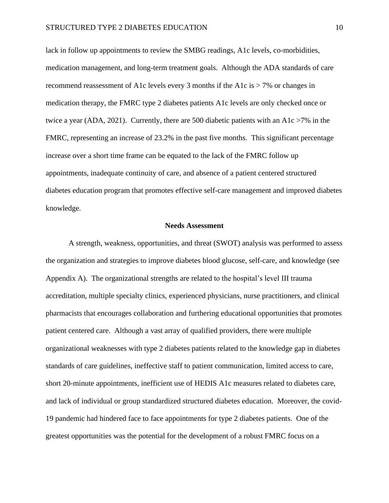lack in follow up appointments to review the SMBG readings, A1c levels, co-morbidities, medication management, and long-term treatment goals. Although the ADA standards of care recommend reassessment of A1c levels every 3 months if the A1c is > 7% or changes in medication therapy, the FMRC type 2 diabetes patients A1c levels are only checked once or twice a year (ADA, 2021). Currently, there are 500 diabetic patients with an A1c >7% in the FMRC, representing an increase of 23.2% in the past five months. This significant percentage increase over a short time frame can be equated to the lack of the FMRC follow up appointments, inadequate continuity of care, and absence of a patient centered structured diabetes education program that promotes effective self-care management and improved diabetes knowledge.

#### **Needs Assessment**

A strength, weakness, opportunities, and threat (SWOT) analysis was performed to assess the organization and strategies to improve diabetes blood glucose, self-care, and knowledge (see Appendix A). The organizational strengths are related to the hospital's level III trauma accreditation, multiple specialty clinics, experienced physicians, nurse practitioners, and clinical pharmacists that encourages collaboration and furthering educational opportunities that promotes patient centered care. Although a vast array of qualified providers, there were multiple organizational weaknesses with type 2 diabetes patients related to the knowledge gap in diabetes standards of care guidelines, ineffective staff to patient communication, limited access to care, short 20-minute appointments, inefficient use of HEDIS A1c measures related to diabetes care, and lack of individual or group standardized structured diabetes education. Moreover, the covid-19 pandemic had hindered face to face appointments for type 2 diabetes patients. One of the greatest opportunities was the potential for the development of a robust FMRC focus on a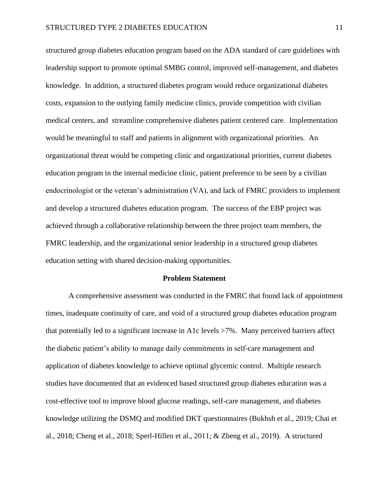structured group diabetes education program based on the ADA standard of care guidelines with leadership support to promote optimal SMBG control, improved self-management, and diabetes knowledge. In addition, a structured diabetes program would reduce organizational diabetes costs, expansion to the outlying family medicine clinics, provide competition with civilian medical centers, and streamline comprehensive diabetes patient centered care. Implementation would be meaningful to staff and patients in alignment with organizational priorities. An organizational threat would be competing clinic and organizational priorities, current diabetes education program in the internal medicine clinic, patient preference to be seen by a civilian endocrinologist or the veteran's administration (VA), and lack of FMRC providers to implement and develop a structured diabetes education program. The success of the EBP project was achieved through a collaborative relationship between the three project team members, the FMRC leadership, and the organizational senior leadership in a structured group diabetes education setting with shared decision-making opportunities.

#### **Problem Statement**

A comprehensive assessment was conducted in the FMRC that found lack of appointment times, inadequate continuity of care, and void of a structured group diabetes education program that potentially led to a significant increase in A1c levels >7%. Many perceived barriers affect the diabetic patient's ability to manage daily commitments in self-care management and application of diabetes knowledge to achieve optimal glycemic control. Multiple research studies have documented that an evidenced based structured group diabetes education was a cost-effective tool to improve blood glucose readings, self-care management, and diabetes knowledge utilizing the DSMQ and modified DKT questionnaires (Bukhsh et al., 2019; Chai et al., 2018; Cheng et al., 2018; Sperl-Hillen et al., 2011; & Zheng et al., 2019). A structured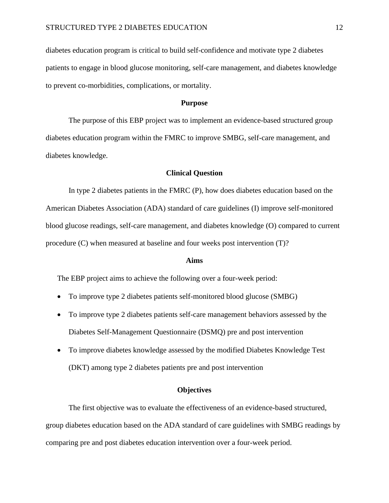diabetes education program is critical to build self-confidence and motivate type 2 diabetes patients to engage in blood glucose monitoring, self-care management, and diabetes knowledge to prevent co-morbidities, complications, or mortality.

#### **Purpose**

The purpose of this EBP project was to implement an evidence-based structured group diabetes education program within the FMRC to improve SMBG, self-care management, and diabetes knowledge.

#### **Clinical Question**

In type 2 diabetes patients in the FMRC (P), how does diabetes education based on the American Diabetes Association (ADA) standard of care guidelines (I) improve self-monitored blood glucose readings, self-care management, and diabetes knowledge (O) compared to current procedure (C) when measured at baseline and four weeks post intervention (T)?

#### **Aims**

The EBP project aims to achieve the following over a four-week period:

- To improve type 2 diabetes patients self-monitored blood glucose (SMBG)
- To improve type 2 diabetes patients self-care management behaviors assessed by the Diabetes Self-Management Questionnaire (DSMQ) pre and post intervention
- To improve diabetes knowledge assessed by the modified Diabetes Knowledge Test (DKT) among type 2 diabetes patients pre and post intervention

#### **Objectives**

The first objective was to evaluate the effectiveness of an evidence-based structured, group diabetes education based on the ADA standard of care guidelines with SMBG readings by comparing pre and post diabetes education intervention over a four-week period.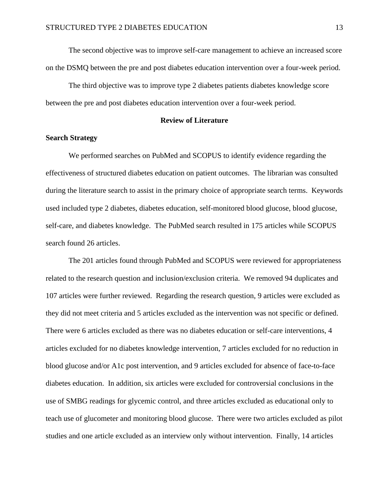The second objective was to improve self-care management to achieve an increased score on the DSMQ between the pre and post diabetes education intervention over a four-week period.

The third objective was to improve type 2 diabetes patients diabetes knowledge score between the pre and post diabetes education intervention over a four-week period.

#### **Review of Literature**

#### **Search Strategy**

We performed searches on PubMed and SCOPUS to identify evidence regarding the effectiveness of structured diabetes education on patient outcomes. The librarian was consulted during the literature search to assist in the primary choice of appropriate search terms. Keywords used included type 2 diabetes, diabetes education, self-monitored blood glucose, blood glucose, self-care, and diabetes knowledge. The PubMed search resulted in 175 articles while SCOPUS search found 26 articles.

The 201 articles found through PubMed and SCOPUS were reviewed for appropriateness related to the research question and inclusion/exclusion criteria. We removed 94 duplicates and 107 articles were further reviewed. Regarding the research question, 9 articles were excluded as they did not meet criteria and 5 articles excluded as the intervention was not specific or defined. There were 6 articles excluded as there was no diabetes education or self-care interventions, 4 articles excluded for no diabetes knowledge intervention, 7 articles excluded for no reduction in blood glucose and/or A1c post intervention, and 9 articles excluded for absence of face-to-face diabetes education. In addition, six articles were excluded for controversial conclusions in the use of SMBG readings for glycemic control, and three articles excluded as educational only to teach use of glucometer and monitoring blood glucose. There were two articles excluded as pilot studies and one article excluded as an interview only without intervention. Finally, 14 articles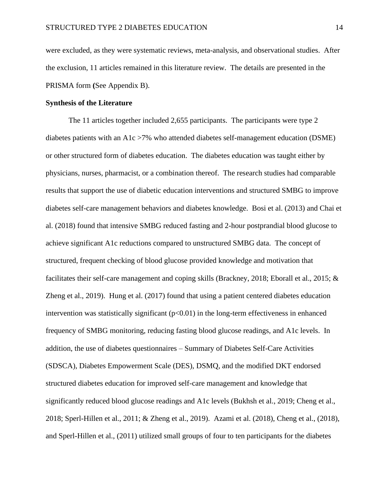were excluded, as they were systematic reviews, meta-analysis, and observational studies. After the exclusion, 11 articles remained in this literature review. The details are presented in the PRISMA form **(**See Appendix B).

#### **Synthesis of the Literature**

The 11 articles together included 2,655 participants. The participants were type 2 diabetes patients with an A1c >7% who attended diabetes self-management education (DSME) or other structured form of diabetes education. The diabetes education was taught either by physicians, nurses, pharmacist, or a combination thereof. The research studies had comparable results that support the use of diabetic education interventions and structured SMBG to improve diabetes self-care management behaviors and diabetes knowledge. Bosi et al. (2013) and Chai et al. (2018) found that intensive SMBG reduced fasting and 2-hour postprandial blood glucose to achieve significant A1c reductions compared to unstructured SMBG data. The concept of structured, frequent checking of blood glucose provided knowledge and motivation that facilitates their self-care management and coping skills (Brackney, 2018; Eborall et al., 2015; & Zheng et al., 2019). Hung et al. (2017) found that using a patient centered diabetes education intervention was statistically significant  $(p<0.01)$  in the long-term effectiveness in enhanced frequency of SMBG monitoring, reducing fasting blood glucose readings, and A1c levels. In addition, the use of diabetes questionnaires – Summary of Diabetes Self-Care Activities (SDSCA), Diabetes Empowerment Scale (DES), DSMQ, and the modified DKT endorsed structured diabetes education for improved self-care management and knowledge that significantly reduced blood glucose readings and A1c levels (Bukhsh et al., 2019; Cheng et al., 2018; Sperl-Hillen et al., 2011; & Zheng et al., 2019). Azami et al. (2018), Cheng et al., (2018), and Sperl-Hillen et al., (2011) utilized small groups of four to ten participants for the diabetes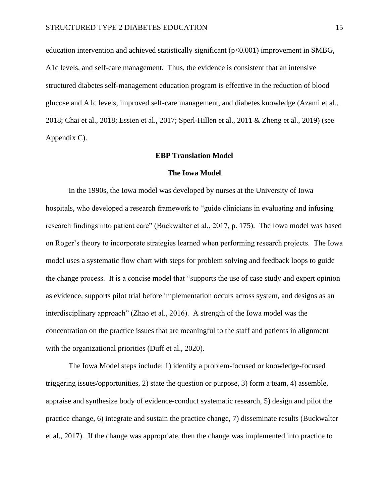education intervention and achieved statistically significant (p<0.001) improvement in SMBG, A1c levels, and self-care management. Thus, the evidence is consistent that an intensive structured diabetes self-management education program is effective in the reduction of blood glucose and A1c levels, improved self-care management, and diabetes knowledge (Azami et al., 2018; Chai et al., 2018; Essien et al., 2017; Sperl-Hillen et al., 2011 & Zheng et al., 2019) (see Appendix C).

#### **EBP Translation Model**

#### **The Iowa Model**

In the 1990s, the Iowa model was developed by nurses at the University of Iowa hospitals, who developed a research framework to "guide clinicians in evaluating and infusing research findings into patient care" (Buckwalter et al., 2017, p. 175). The Iowa model was based on Roger's theory to incorporate strategies learned when performing research projects. The Iowa model uses a systematic flow chart with steps for problem solving and feedback loops to guide the change process. It is a concise model that "supports the use of case study and expert opinion as evidence, supports pilot trial before implementation occurs across system, and designs as an interdisciplinary approach" (Zhao et al., 2016). A strength of the Iowa model was the concentration on the practice issues that are meaningful to the staff and patients in alignment with the organizational priorities (Duff et al., 2020).

The Iowa Model steps include: 1) identify a problem-focused or knowledge-focused triggering issues/opportunities, 2) state the question or purpose, 3) form a team, 4) assemble, appraise and synthesize body of evidence-conduct systematic research, 5) design and pilot the practice change, 6) integrate and sustain the practice change, 7) disseminate results (Buckwalter et al., 2017). If the change was appropriate, then the change was implemented into practice to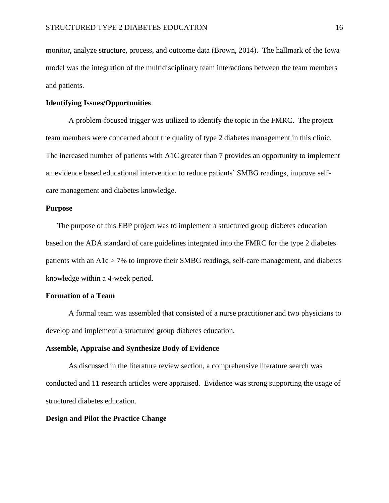monitor, analyze structure, process, and outcome data (Brown, 2014). The hallmark of the Iowa model was the integration of the multidisciplinary team interactions between the team members and patients.

#### **Identifying Issues/Opportunities**

A problem-focused trigger was utilized to identify the topic in the FMRC. The project team members were concerned about the quality of type 2 diabetes management in this clinic. The increased number of patients with A1C greater than 7 provides an opportunity to implement an evidence based educational intervention to reduce patients' SMBG readings, improve selfcare management and diabetes knowledge.

#### **Purpose**

The purpose of this EBP project was to implement a structured group diabetes education based on the ADA standard of care guidelines integrated into the FMRC for the type 2 diabetes patients with an  $A1c > 7%$  to improve their SMBG readings, self-care management, and diabetes knowledge within a 4-week period.

#### **Formation of a Team**

A formal team was assembled that consisted of a nurse practitioner and two physicians to develop and implement a structured group diabetes education.

#### **Assemble, Appraise and Synthesize Body of Evidence**

As discussed in the literature review section, a comprehensive literature search was conducted and 11 research articles were appraised. Evidence was strong supporting the usage of structured diabetes education.

#### **Design and Pilot the Practice Change**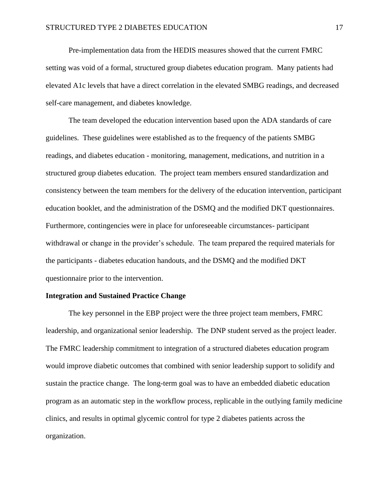Pre-implementation data from the HEDIS measures showed that the current FMRC setting was void of a formal, structured group diabetes education program. Many patients had elevated A1c levels that have a direct correlation in the elevated SMBG readings, and decreased self-care management, and diabetes knowledge.

The team developed the education intervention based upon the ADA standards of care guidelines. These guidelines were established as to the frequency of the patients SMBG readings, and diabetes education - monitoring, management, medications, and nutrition in a structured group diabetes education. The project team members ensured standardization and consistency between the team members for the delivery of the education intervention, participant education booklet, and the administration of the DSMQ and the modified DKT questionnaires. Furthermore, contingencies were in place for unforeseeable circumstances- participant withdrawal or change in the provider's schedule. The team prepared the required materials for the participants - diabetes education handouts, and the DSMQ and the modified DKT questionnaire prior to the intervention.

#### **Integration and Sustained Practice Change**

The key personnel in the EBP project were the three project team members, FMRC leadership, and organizational senior leadership. The DNP student served as the project leader. The FMRC leadership commitment to integration of a structured diabetes education program would improve diabetic outcomes that combined with senior leadership support to solidify and sustain the practice change. The long-term goal was to have an embedded diabetic education program as an automatic step in the workflow process, replicable in the outlying family medicine clinics, and results in optimal glycemic control for type 2 diabetes patients across the organization.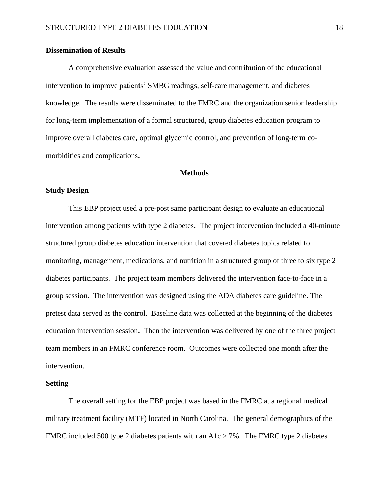#### **Dissemination of Results**

A comprehensive evaluation assessed the value and contribution of the educational intervention to improve patients' SMBG readings, self-care management, and diabetes knowledge. The results were disseminated to the FMRC and the organization senior leadership for long-term implementation of a formal structured, group diabetes education program to improve overall diabetes care, optimal glycemic control, and prevention of long-term comorbidities and complications.

#### **Methods**

#### **Study Design**

This EBP project used a pre-post same participant design to evaluate an educational intervention among patients with type 2 diabetes. The project intervention included a 40-minute structured group diabetes education intervention that covered diabetes topics related to monitoring, management, medications, and nutrition in a structured group of three to six type 2 diabetes participants. The project team members delivered the intervention face-to-face in a group session. The intervention was designed using the ADA diabetes care guideline. The pretest data served as the control. Baseline data was collected at the beginning of the diabetes education intervention session. Then the intervention was delivered by one of the three project team members in an FMRC conference room. Outcomes were collected one month after the intervention.

#### **Setting**

The overall setting for the EBP project was based in the FMRC at a regional medical military treatment facility (MTF) located in North Carolina. The general demographics of the FMRC included 500 type 2 diabetes patients with an  $A1c > 7\%$ . The FMRC type 2 diabetes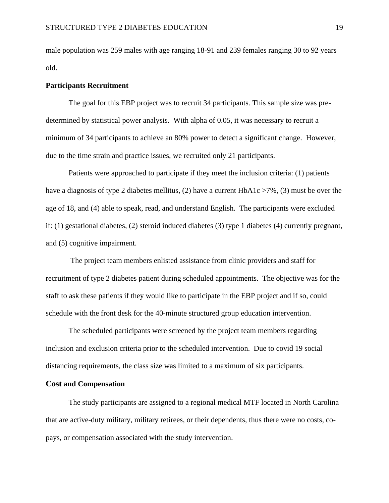male population was 259 males with age ranging 18-91 and 239 females ranging 30 to 92 years old.

#### **Participants Recruitment**

The goal for this EBP project was to recruit 34 participants. This sample size was predetermined by statistical power analysis. With alpha of 0.05, it was necessary to recruit a minimum of 34 participants to achieve an 80% power to detect a significant change. However, due to the time strain and practice issues, we recruited only 21 participants.

Patients were approached to participate if they meet the inclusion criteria: (1) patients have a diagnosis of type 2 diabetes mellitus, (2) have a current HbA1c >7%, (3) must be over the age of 18, and (4) able to speak, read, and understand English. The participants were excluded if: (1) gestational diabetes, (2) steroid induced diabetes (3) type 1 diabetes (4) currently pregnant, and (5) cognitive impairment.

The project team members enlisted assistance from clinic providers and staff for recruitment of type 2 diabetes patient during scheduled appointments. The objective was for the staff to ask these patients if they would like to participate in the EBP project and if so, could schedule with the front desk for the 40-minute structured group education intervention.

The scheduled participants were screened by the project team members regarding inclusion and exclusion criteria prior to the scheduled intervention. Due to covid 19 social distancing requirements, the class size was limited to a maximum of six participants.

#### **Cost and Compensation**

The study participants are assigned to a regional medical MTF located in North Carolina that are active-duty military, military retirees, or their dependents, thus there were no costs, copays, or compensation associated with the study intervention.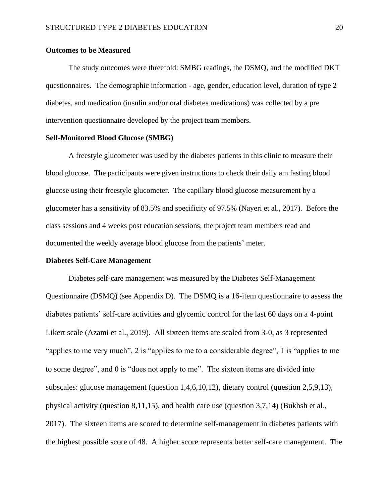#### **Outcomes to be Measured**

The study outcomes were threefold: SMBG readings, the DSMQ, and the modified DKT questionnaires. The demographic information - age, gender, education level, duration of type 2 diabetes, and medication (insulin and/or oral diabetes medications) was collected by a pre intervention questionnaire developed by the project team members.

#### **Self-Monitored Blood Glucose (SMBG)**

A freestyle glucometer was used by the diabetes patients in this clinic to measure their blood glucose. The participants were given instructions to check their daily am fasting blood glucose using their freestyle glucometer. The capillary blood glucose measurement by a glucometer has a sensitivity of 83.5% and specificity of 97.5% (Nayeri et al., 2017). Before the class sessions and 4 weeks post education sessions, the project team members read and documented the weekly average blood glucose from the patients' meter.

#### **Diabetes Self-Care Management**

Diabetes self-care management was measured by the Diabetes Self-Management Questionnaire (DSMQ) (see Appendix D). The DSMQ is a 16-item questionnaire to assess the diabetes patients' self-care activities and glycemic control for the last 60 days on a 4-point Likert scale (Azami et al., 2019). All sixteen items are scaled from 3-0, as 3 represented "applies to me very much", 2 is "applies to me to a considerable degree", 1 is "applies to me to some degree", and 0 is "does not apply to me". The sixteen items are divided into subscales: glucose management (question 1,4,6,10,12), dietary control (question 2,5,9,13), physical activity (question 8,11,15), and health care use (question 3,7,14) (Bukhsh et al., 2017). The sixteen items are scored to determine self-management in diabetes patients with the highest possible score of 48. A higher score represents better self-care management. The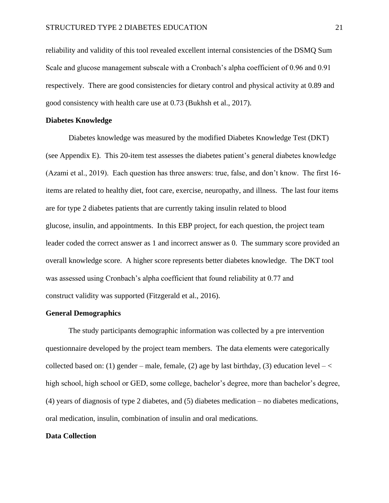reliability and validity of this tool revealed excellent internal consistencies of the DSMQ Sum Scale and glucose management subscale with a Cronbach's alpha coefficient of 0.96 and 0.91 respectively. There are good consistencies for dietary control and physical activity at 0.89 and good consistency with health care use at 0.73 (Bukhsh et al., 2017).

#### **Diabetes Knowledge**

Diabetes knowledge was measured by the modified Diabetes Knowledge Test (DKT) (see Appendix E). This 20-item test assesses the diabetes patient's general diabetes knowledge (Azami et al., 2019). Each question has three answers: true, false, and don't know. The first 16 items are related to healthy diet, foot care, exercise, neuropathy, and illness. The last four items are for type 2 diabetes patients that are currently taking insulin related to blood glucose, insulin, and appointments. In this EBP project, for each question, the project team leader coded the correct answer as 1 and incorrect answer as 0. The summary score provided an overall knowledge score. A higher score represents better diabetes knowledge. The DKT tool was assessed using Cronbach's alpha coefficient that found reliability at 0.77 and construct validity was supported (Fitzgerald et al., 2016).

#### **General Demographics**

The study participants demographic information was collected by a pre intervention questionnaire developed by the project team members. The data elements were categorically collected based on: (1) gender – male, female, (2) age by last birthday, (3) education level  $-\le$ high school, high school or GED, some college, bachelor's degree, more than bachelor's degree, (4) years of diagnosis of type 2 diabetes, and (5) diabetes medication – no diabetes medications, oral medication, insulin, combination of insulin and oral medications.

#### **Data Collection**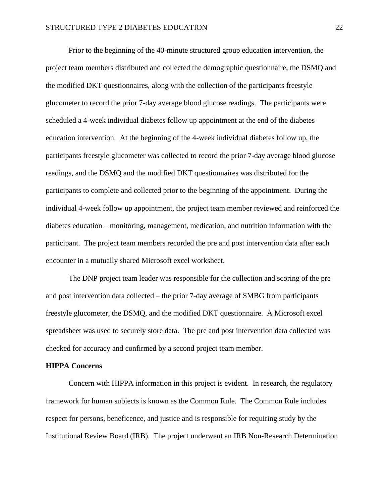Prior to the beginning of the 40-minute structured group education intervention, the project team members distributed and collected the demographic questionnaire, the DSMQ and the modified DKT questionnaires, along with the collection of the participants freestyle glucometer to record the prior 7-day average blood glucose readings. The participants were scheduled a 4-week individual diabetes follow up appointment at the end of the diabetes education intervention. At the beginning of the 4-week individual diabetes follow up, the participants freestyle glucometer was collected to record the prior 7-day average blood glucose readings, and the DSMQ and the modified DKT questionnaires was distributed for the participants to complete and collected prior to the beginning of the appointment. During the individual 4-week follow up appointment, the project team member reviewed and reinforced the diabetes education – monitoring, management, medication, and nutrition information with the participant. The project team members recorded the pre and post intervention data after each encounter in a mutually shared Microsoft excel worksheet.

The DNP project team leader was responsible for the collection and scoring of the pre and post intervention data collected – the prior 7-day average of SMBG from participants freestyle glucometer, the DSMQ, and the modified DKT questionnaire. A Microsoft excel spreadsheet was used to securely store data. The pre and post intervention data collected was checked for accuracy and confirmed by a second project team member.

#### **HIPPA Concerns**

Concern with HIPPA information in this project is evident. In research, the regulatory framework for human subjects is known as the Common Rule. The Common Rule includes respect for persons, beneficence, and justice and is responsible for requiring study by the Institutional Review Board (IRB). The project underwent an IRB Non-Research Determination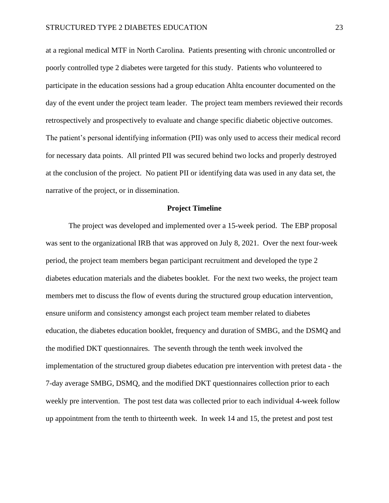at a regional medical MTF in North Carolina. Patients presenting with chronic uncontrolled or poorly controlled type 2 diabetes were targeted for this study. Patients who volunteered to participate in the education sessions had a group education Ahlta encounter documented on the day of the event under the project team leader. The project team members reviewed their records retrospectively and prospectively to evaluate and change specific diabetic objective outcomes. The patient's personal identifying information (PII) was only used to access their medical record for necessary data points. All printed PII was secured behind two locks and properly destroyed at the conclusion of the project. No patient PII or identifying data was used in any data set, the narrative of the project, or in dissemination.

#### **Project Timeline**

The project was developed and implemented over a 15-week period. The EBP proposal was sent to the organizational IRB that was approved on July 8, 2021. Over the next four-week period, the project team members began participant recruitment and developed the type 2 diabetes education materials and the diabetes booklet. For the next two weeks, the project team members met to discuss the flow of events during the structured group education intervention, ensure uniform and consistency amongst each project team member related to diabetes education, the diabetes education booklet, frequency and duration of SMBG, and the DSMQ and the modified DKT questionnaires. The seventh through the tenth week involved the implementation of the structured group diabetes education pre intervention with pretest data - the 7-day average SMBG, DSMQ, and the modified DKT questionnaires collection prior to each weekly pre intervention. The post test data was collected prior to each individual 4-week follow up appointment from the tenth to thirteenth week. In week 14 and 15, the pretest and post test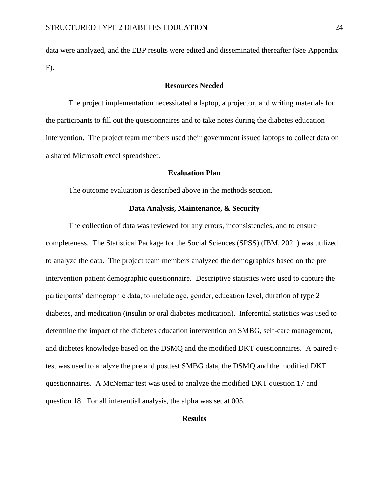data were analyzed, and the EBP results were edited and disseminated thereafter (See Appendix F).

#### **Resources Needed**

The project implementation necessitated a laptop, a projector, and writing materials for the participants to fill out the questionnaires and to take notes during the diabetes education intervention. The project team members used their government issued laptops to collect data on a shared Microsoft excel spreadsheet.

#### **Evaluation Plan**

The outcome evaluation is described above in the methods section.

#### **Data Analysis, Maintenance, & Security**

The collection of data was reviewed for any errors, inconsistencies, and to ensure completeness. The Statistical Package for the Social Sciences (SPSS) (IBM, 2021) was utilized to analyze the data. The project team members analyzed the demographics based on the pre intervention patient demographic questionnaire. Descriptive statistics were used to capture the participants' demographic data, to include age, gender, education level, duration of type 2 diabetes, and medication (insulin or oral diabetes medication). Inferential statistics was used to determine the impact of the diabetes education intervention on SMBG, self-care management, and diabetes knowledge based on the DSMQ and the modified DKT questionnaires. A paired ttest was used to analyze the pre and posttest SMBG data, the DSMQ and the modified DKT questionnaires. A McNemar test was used to analyze the modified DKT question 17 and question 18. For all inferential analysis, the alpha was set at 005.

#### **Results**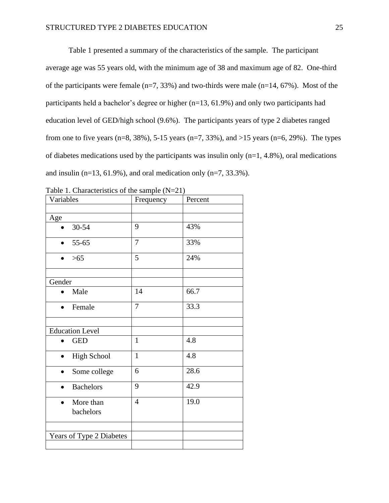Table 1 presented a summary of the characteristics of the sample. The participant average age was 55 years old, with the minimum age of 38 and maximum age of 82. One-third of the participants were female  $(n=7, 33%)$  and two-thirds were male  $(n=14, 67%)$ . Most of the participants held a bachelor's degree or higher (n=13, 61.9%) and only two participants had education level of GED/high school (9.6%). The participants years of type 2 diabetes ranged from one to five years (n=8, 38%), 5-15 years (n=7, 33%), and >15 years (n=6, 29%). The types of diabetes medications used by the participants was insulin only  $(n=1, 4.8\%)$ , oral medications and insulin (n=13, 61.9%), and oral medication only (n=7,  $33.3\%$ ).

| Variables                           | Frequency      | Percent |
|-------------------------------------|----------------|---------|
|                                     |                |         |
| Age                                 |                |         |
| 30-54                               | 9              | 43%     |
| 55-65<br>$\bullet$                  | $\overline{7}$ | 33%     |
| $>65$<br>$\bullet$                  | 5              | 24%     |
|                                     |                |         |
| Gender                              |                |         |
| Male                                | 14             | 66.7    |
| Female<br>$\bullet$                 | $\overline{7}$ | 33.3    |
|                                     |                |         |
| <b>Education Level</b>              |                |         |
| <b>GED</b><br>$\bullet$             | $\mathbf{1}$   | 4.8     |
| <b>High School</b><br>$\bullet$     | $\mathbf{1}$   | 4.8     |
| Some college<br>$\bullet$           | 6              | 28.6    |
| <b>Bachelors</b><br>$\bullet$       | 9              | 42.9    |
| More than<br>$\bullet$<br>bachelors | $\overline{4}$ | 19.0    |
|                                     |                |         |
| Years of Type 2 Diabetes            |                |         |
|                                     |                |         |

Table 1. Characteristics of the sample  $(N=21)$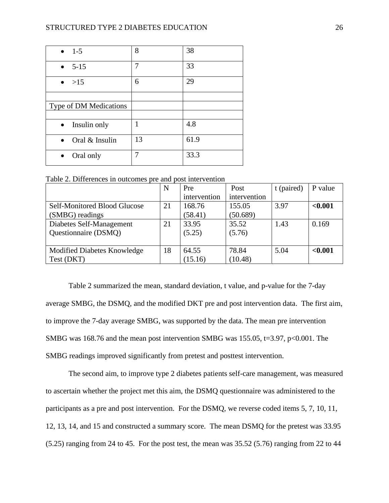| $1-5$                     | 8  | 38   |
|---------------------------|----|------|
| $5 - 15$<br>$\bullet$     | 7  | 33   |
| $\bullet$ >15             | 6  | 29   |
|                           |    |      |
| Type of DM Medications    |    |      |
|                           |    |      |
| Insulin only<br>$\bullet$ | 1  | 4.8  |
| Oral & Insulin            | 13 | 61.9 |
| Oral only<br>$\bullet$    | 7  | 33.3 |

Table 2. Differences in outcomes pre and post intervention

|                              | N  | Pre          | Post         | t (paired) | P value |
|------------------------------|----|--------------|--------------|------------|---------|
|                              |    | intervention | intervention |            |         |
| Self-Monitored Blood Glucose | 21 | 168.76       | 155.05       | 3.97       | < 0.001 |
| (SMBG) readings              |    | (58.41)      | (50.689)     |            |         |
| Diabetes Self-Management     | 21 | 33.95        | 35.52        | 1.43       | 0.169   |
| Questionnaire (DSMQ)         |    | (5.25)       | (5.76)       |            |         |
|                              |    |              |              |            |         |
| Modified Diabetes Knowledge  | 18 | 64.55        | 78.84        | 5.04       | < 0.001 |
| Test (DKT)                   |    | (15.16)      | (10.48)      |            |         |

Table 2 summarized the mean, standard deviation, t value, and p-value for the 7-day average SMBG, the DSMQ, and the modified DKT pre and post intervention data. The first aim, to improve the 7-day average SMBG, was supported by the data. The mean pre intervention SMBG was 168.76 and the mean post intervention SMBG was 155.05, t=3.97, p<0.001. The SMBG readings improved significantly from pretest and posttest intervention.

The second aim, to improve type 2 diabetes patients self-care management, was measured to ascertain whether the project met this aim, the DSMQ questionnaire was administered to the participants as a pre and post intervention. For the DSMQ, we reverse coded items 5, 7, 10, 11, 12, 13, 14, and 15 and constructed a summary score. The mean DSMQ for the pretest was 33.95 (5.25) ranging from 24 to 45. For the post test, the mean was 35.52 (5.76) ranging from 22 to 44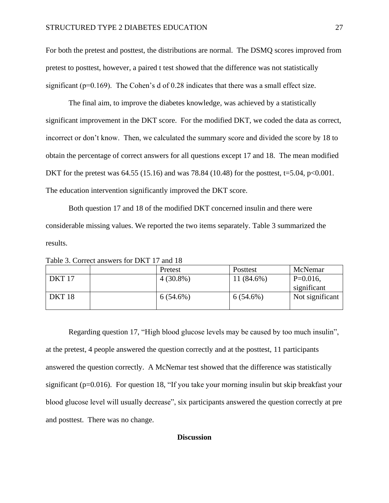For both the pretest and posttest, the distributions are normal. The DSMQ scores improved from pretest to posttest, however, a paired t test showed that the difference was not statistically significant ( $p=0.169$ ). The Cohen's d of 0.28 indicates that there was a small effect size.

The final aim, to improve the diabetes knowledge, was achieved by a statistically significant improvement in the DKT score. For the modified DKT, we coded the data as correct, incorrect or don't know. Then, we calculated the summary score and divided the score by 18 to obtain the percentage of correct answers for all questions except 17 and 18. The mean modified DKT for the pretest was  $64.55$  (15.16) and was 78.84 (10.48) for the posttest, t=5.04, p<0.001. The education intervention significantly improved the DKT score.

Both question 17 and 18 of the modified DKT concerned insulin and there were considerable missing values. We reported the two items separately. Table 3 summarized the results.

|               | Pretest     | Posttest     | McNemar                    |
|---------------|-------------|--------------|----------------------------|
| <b>DKT</b> 17 | $4(30.8\%)$ | $11(84.6\%)$ | $P=0.016$ ,<br>significant |
| <b>DKT</b> 18 | $6(54.6\%)$ | $6(54.6\%)$  | Not significant            |

Table 3. Correct answers for DKT 17 and 18

Regarding question 17, "High blood glucose levels may be caused by too much insulin", at the pretest, 4 people answered the question correctly and at the posttest, 11 participants answered the question correctly. A McNemar test showed that the difference was statistically significant (p=0.016). For question 18, "If you take your morning insulin but skip breakfast your blood glucose level will usually decrease", six participants answered the question correctly at pre and posttest. There was no change.

#### **Discussion**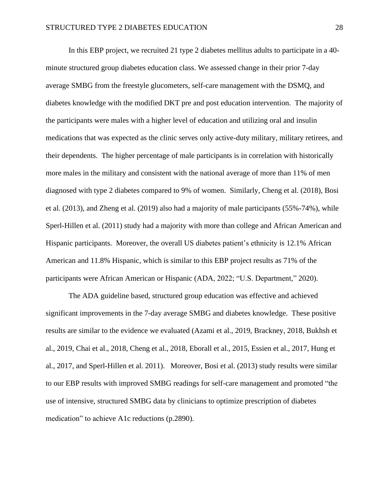In this EBP project, we recruited 21 type 2 diabetes mellitus adults to participate in a 40 minute structured group diabetes education class. We assessed change in their prior 7-day average SMBG from the freestyle glucometers, self-care management with the DSMQ, and diabetes knowledge with the modified DKT pre and post education intervention. The majority of the participants were males with a higher level of education and utilizing oral and insulin medications that was expected as the clinic serves only active-duty military, military retirees, and their dependents. The higher percentage of male participants is in correlation with historically more males in the military and consistent with the national average of more than 11% of men diagnosed with type 2 diabetes compared to 9% of women. Similarly, Cheng et al. (2018), Bosi et al. (2013), and Zheng et al. (2019) also had a majority of male participants (55%-74%), while Sperl-Hillen et al. (2011) study had a majority with more than college and African American and Hispanic participants. Moreover, the overall US diabetes patient's ethnicity is 12.1% African American and 11.8% Hispanic, which is similar to this EBP project results as 71% of the participants were African American or Hispanic (ADA, 2022; "U.S. Department," 2020).

The ADA guideline based, structured group education was effective and achieved significant improvements in the 7-day average SMBG and diabetes knowledge. These positive results are similar to the evidence we evaluated (Azami et al., 2019, Brackney, 2018, Bukhsh et al., 2019, Chai et al., 2018, Cheng et al., 2018, Eborall et al., 2015, Essien et al., 2017, Hung et al., 2017, and Sperl-Hillen et al. 2011). Moreover, Bosi et al. (2013) study results were similar to our EBP results with improved SMBG readings for self-care management and promoted "the use of intensive, structured SMBG data by clinicians to optimize prescription of diabetes medication" to achieve A1c reductions (p.2890).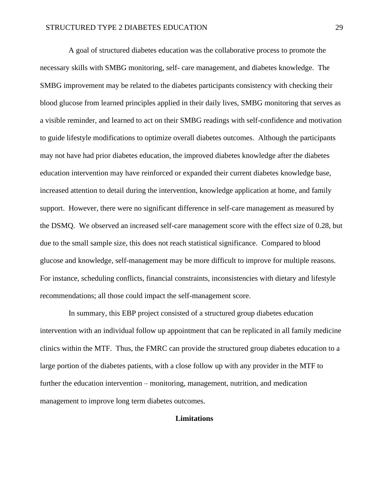A goal of structured diabetes education was the collaborative process to promote the necessary skills with SMBG monitoring, self- care management, and diabetes knowledge. The SMBG improvement may be related to the diabetes participants consistency with checking their blood glucose from learned principles applied in their daily lives, SMBG monitoring that serves as a visible reminder, and learned to act on their SMBG readings with self-confidence and motivation to guide lifestyle modifications to optimize overall diabetes outcomes. Although the participants may not have had prior diabetes education, the improved diabetes knowledge after the diabetes education intervention may have reinforced or expanded their current diabetes knowledge base, increased attention to detail during the intervention, knowledge application at home, and family support. However, there were no significant difference in self-care management as measured by the DSMQ. We observed an increased self-care management score with the effect size of 0.28, but due to the small sample size, this does not reach statistical significance. Compared to blood glucose and knowledge, self-management may be more difficult to improve for multiple reasons. For instance, scheduling conflicts, financial constraints, inconsistencies with dietary and lifestyle recommendations; all those could impact the self-management score.

In summary, this EBP project consisted of a structured group diabetes education intervention with an individual follow up appointment that can be replicated in all family medicine clinics within the MTF. Thus, the FMRC can provide the structured group diabetes education to a large portion of the diabetes patients, with a close follow up with any provider in the MTF to further the education intervention – monitoring, management, nutrition, and medication management to improve long term diabetes outcomes.

#### **Limitations**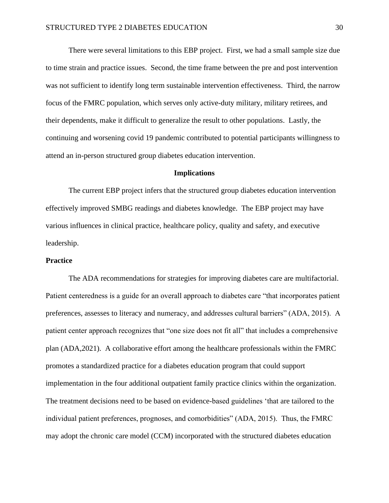There were several limitations to this EBP project. First, we had a small sample size due to time strain and practice issues. Second, the time frame between the pre and post intervention was not sufficient to identify long term sustainable intervention effectiveness. Third, the narrow focus of the FMRC population, which serves only active-duty military, military retirees, and their dependents, make it difficult to generalize the result to other populations. Lastly, the continuing and worsening covid 19 pandemic contributed to potential participants willingness to attend an in-person structured group diabetes education intervention.

#### **Implications**

The current EBP project infers that the structured group diabetes education intervention effectively improved SMBG readings and diabetes knowledge. The EBP project may have various influences in clinical practice, healthcare policy, quality and safety, and executive leadership.

#### **Practice**

The ADA recommendations for strategies for improving diabetes care are multifactorial. Patient centeredness is a guide for an overall approach to diabetes care "that incorporates patient preferences, assesses to literacy and numeracy, and addresses cultural barriers" (ADA, 2015). A patient center approach recognizes that "one size does not fit all" that includes a comprehensive plan (ADA,2021). A collaborative effort among the healthcare professionals within the FMRC promotes a standardized practice for a diabetes education program that could support implementation in the four additional outpatient family practice clinics within the organization. The treatment decisions need to be based on evidence-based guidelines 'that are tailored to the individual patient preferences, prognoses, and comorbidities" (ADA, 2015). Thus, the FMRC may adopt the chronic care model (CCM) incorporated with the structured diabetes education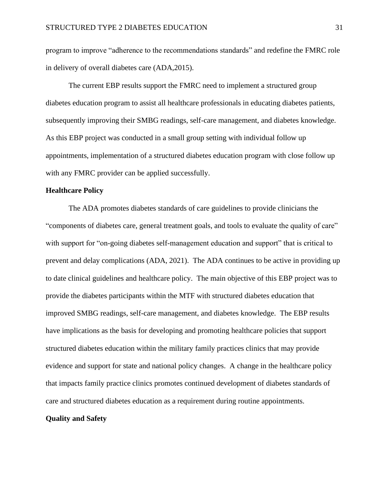program to improve "adherence to the recommendations standards" and redefine the FMRC role in delivery of overall diabetes care (ADA,2015).

The current EBP results support the FMRC need to implement a structured group diabetes education program to assist all healthcare professionals in educating diabetes patients, subsequently improving their SMBG readings, self-care management, and diabetes knowledge. As this EBP project was conducted in a small group setting with individual follow up appointments, implementation of a structured diabetes education program with close follow up with any FMRC provider can be applied successfully.

#### **Healthcare Policy**

The ADA promotes diabetes standards of care guidelines to provide clinicians the "components of diabetes care, general treatment goals, and tools to evaluate the quality of care" with support for "on-going diabetes self-management education and support" that is critical to prevent and delay complications (ADA, 2021). The ADA continues to be active in providing up to date clinical guidelines and healthcare policy. The main objective of this EBP project was to provide the diabetes participants within the MTF with structured diabetes education that improved SMBG readings, self-care management, and diabetes knowledge. The EBP results have implications as the basis for developing and promoting healthcare policies that support structured diabetes education within the military family practices clinics that may provide evidence and support for state and national policy changes. A change in the healthcare policy that impacts family practice clinics promotes continued development of diabetes standards of care and structured diabetes education as a requirement during routine appointments.

#### **Quality and Safety**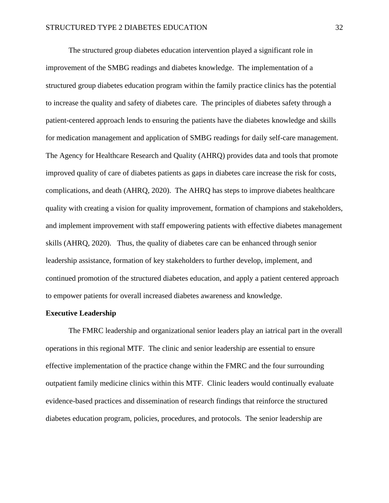The structured group diabetes education intervention played a significant role in improvement of the SMBG readings and diabetes knowledge. The implementation of a structured group diabetes education program within the family practice clinics has the potential to increase the quality and safety of diabetes care. The principles of diabetes safety through a patient-centered approach lends to ensuring the patients have the diabetes knowledge and skills for medication management and application of SMBG readings for daily self-care management. The Agency for Healthcare Research and Quality (AHRQ) provides data and tools that promote improved quality of care of diabetes patients as gaps in diabetes care increase the risk for costs, complications, and death (AHRQ, 2020). The AHRQ has steps to improve diabetes healthcare quality with creating a vision for quality improvement, formation of champions and stakeholders, and implement improvement with staff empowering patients with effective diabetes management skills (AHRQ, 2020). Thus, the quality of diabetes care can be enhanced through senior leadership assistance, formation of key stakeholders to further develop, implement, and continued promotion of the structured diabetes education, and apply a patient centered approach to empower patients for overall increased diabetes awareness and knowledge.

#### **Executive Leadership**

The FMRC leadership and organizational senior leaders play an iatrical part in the overall operations in this regional MTF. The clinic and senior leadership are essential to ensure effective implementation of the practice change within the FMRC and the four surrounding outpatient family medicine clinics within this MTF. Clinic leaders would continually evaluate evidence-based practices and dissemination of research findings that reinforce the structured diabetes education program, policies, procedures, and protocols. The senior leadership are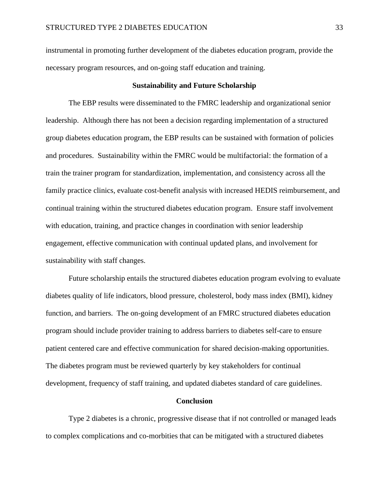instrumental in promoting further development of the diabetes education program, provide the necessary program resources, and on-going staff education and training.

#### **Sustainability and Future Scholarship**

The EBP results were disseminated to the FMRC leadership and organizational senior leadership. Although there has not been a decision regarding implementation of a structured group diabetes education program, the EBP results can be sustained with formation of policies and procedures. Sustainability within the FMRC would be multifactorial: the formation of a train the trainer program for standardization, implementation, and consistency across all the family practice clinics, evaluate cost-benefit analysis with increased HEDIS reimbursement, and continual training within the structured diabetes education program. Ensure staff involvement with education, training, and practice changes in coordination with senior leadership engagement, effective communication with continual updated plans, and involvement for sustainability with staff changes.

Future scholarship entails the structured diabetes education program evolving to evaluate diabetes quality of life indicators, blood pressure, cholesterol, body mass index (BMI), kidney function, and barriers. The on-going development of an FMRC structured diabetes education program should include provider training to address barriers to diabetes self-care to ensure patient centered care and effective communication for shared decision-making opportunities. The diabetes program must be reviewed quarterly by key stakeholders for continual development, frequency of staff training, and updated diabetes standard of care guidelines.

#### **Conclusion**

Type 2 diabetes is a chronic, progressive disease that if not controlled or managed leads to complex complications and co-morbities that can be mitigated with a structured diabetes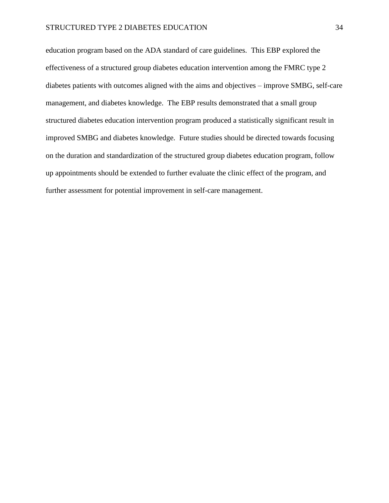education program based on the ADA standard of care guidelines. This EBP explored the effectiveness of a structured group diabetes education intervention among the FMRC type 2 diabetes patients with outcomes aligned with the aims and objectives – improve SMBG, self-care management, and diabetes knowledge. The EBP results demonstrated that a small group structured diabetes education intervention program produced a statistically significant result in improved SMBG and diabetes knowledge. Future studies should be directed towards focusing on the duration and standardization of the structured group diabetes education program, follow up appointments should be extended to further evaluate the clinic effect of the program, and further assessment for potential improvement in self-care management.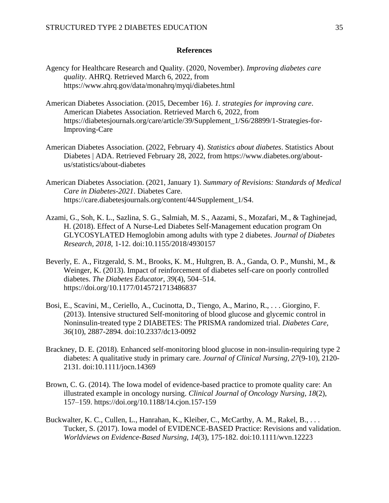#### **References**

- Agency for Healthcare Research and Quality. (2020, November). *Improving diabetes care quality*. AHRQ. Retrieved March 6, 2022, from https://www.ahrq.gov/data/monahrq/myqi/diabetes.html
- American Diabetes Association. (2015, December 16). *1. strategies for improving care*. American Diabetes Association. Retrieved March 6, 2022, from https://diabetesjournals.org/care/article/39/Supplement\_1/S6/28899/1-Strategies-for-Improving-Care
- American Diabetes Association. (2022, February 4). *Statistics about diabetes*. Statistics About Diabetes | ADA. Retrieved February 28, 2022, from https://www.diabetes.org/aboutus/statistics/about-diabetes
- American Diabetes Association. (2021, January 1). *Summary of Revisions: Standards of Medical Care in Diabetes-2021*. Diabetes Care. https://care.diabetesjournals.org/content/44/Supplement\_1/S4.
- Azami, G., Soh, K. L., Sazlina, S. G., Salmiah, M. S., Aazami, S., Mozafari, M., & Taghinejad, H. (2018). Effect of A Nurse-Led Diabetes Self-Management education program On GLYCOSYLATED Hemoglobin among adults with type 2 diabetes. *Journal of Diabetes Research, 2018*, 1-12. doi:10.1155/2018/4930157
- Beverly, E. A., Fitzgerald, S. M., Brooks, K. M., Hultgren, B. A., Ganda, O. P., Munshi, M., & Weinger, K. (2013). Impact of reinforcement of diabetes self-care on poorly controlled diabetes. *The Diabetes Educator*, *39*(4), 504–514. https://doi.org/10.1177/0145721713486837
- Bosi, E., Scavini, M., Ceriello, A., Cucinotta, D., Tiengo, A., Marino, R., . . . Giorgino, F. (2013). Intensive structured Self-monitoring of blood glucose and glycemic control in Noninsulin-treated type 2 DIABETES: The PRISMA randomized trial. *Diabetes Care, 36*(10), 2887-2894. doi:10.2337/dc13-0092
- Brackney, D. E. (2018). Enhanced self-monitoring blood glucose in non-insulin-requiring type 2 diabetes: A qualitative study in primary care. *Journal of Clinical Nursing, 27*(9-10), 2120- 2131. doi:10.1111/jocn.14369
- Brown, C. G. (2014). The Iowa model of evidence-based practice to promote quality care: An illustrated example in oncology nursing. *Clinical Journal of Oncology Nursing*, *18*(2), 157–159. https://doi.org/10.1188/14.cjon.157-159
- Buckwalter, K. C., Cullen, L., Hanrahan, K., Kleiber, C., McCarthy, A. M., Rakel, B., ... Tucker, S. (2017). Iowa model of EVIDENCE-BASED Practice: Revisions and validation. *Worldviews on Evidence-Based Nursing, 14*(3), 175-182. doi:10.1111/wvn.12223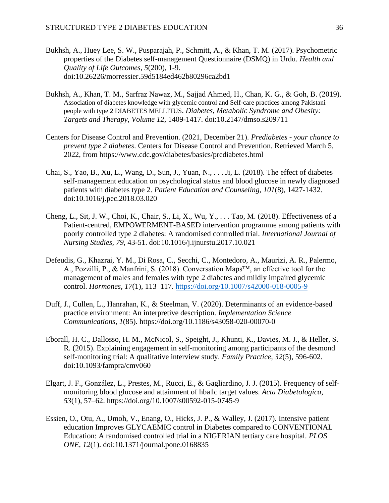- Bukhsh, A., Huey Lee, S. W., Pusparajah, P., Schmitt, A., & Khan, T. M. (2017). Psychometric properties of the Diabetes self-management Questionnaire (DSMQ) in Urdu. *Health and Quality of Life Outcomes, 5*(200), 1-9. doi:10.26226/morressier.59d5184ed462b80296ca2bd1
- Bukhsh, A., Khan, T. M., Sarfraz Nawaz, M., Sajjad Ahmed, H., Chan, K. G., & Goh, B. (2019). Association of diabetes knowledge with glycemic control and Self-care practices among Pakistani people with type 2 DIABETES MELLITUS. *Diabetes, Metabolic Syndrome and Obesity: Targets and Therapy, Volume 12*, 1409-1417. doi:10.2147/dmso.s209711
- Centers for Disease Control and Prevention. (2021, December 21). *Prediabetes - your chance to prevent type 2 diabetes*. Centers for Disease Control and Prevention. Retrieved March 5, 2022, from https://www.cdc.gov/diabetes/basics/prediabetes.html
- Chai, S., Yao, B., Xu, L., Wang, D., Sun, J., Yuan, N., . . . Ji, L. (2018). The effect of diabetes self-management education on psychological status and blood glucose in newly diagnosed patients with diabetes type 2. *Patient Education and Counseling, 101*(8), 1427-1432. doi:10.1016/j.pec.2018.03.020
- Cheng, L., Sit, J. W., Choi, K., Chair, S., Li, X., Wu, Y., . . . Tao, M. (2018). Effectiveness of a Patient-centred, EMPOWERMENT-BASED intervention programme among patients with poorly controlled type 2 diabetes: A randomised controlled trial. *International Journal of Nursing Studies, 79*, 43-51. doi:10.1016/j.ijnurstu.2017.10.021
- Defeudis, G., Khazrai, Y. M., Di Rosa, C., Secchi, C., Montedoro, A., Maurizi, A. R., Palermo, A., Pozzilli, P., & Manfrini, S. (2018). Conversation Maps™, an effective tool for the management of males and females with type 2 diabetes and mildly impaired glycemic control. *Hormones*, *17*(1), 113–117.<https://doi.org/10.1007/s42000-018-0005-9>
- Duff, J., Cullen, L., Hanrahan, K., & Steelman, V. (2020). Determinants of an evidence-based practice environment: An interpretive description. *Implementation Science Communications*, *1*(85). https://doi.org/10.1186/s43058-020-00070-0
- Eborall, H. C., Dallosso, H. M., McNicol, S., Speight, J., Khunti, K., Davies, M. J., & Heller, S. R. (2015). Explaining engagement in self-monitoring among participants of the desmond self-monitoring trial: A qualitative interview study. *Family Practice, 32*(5), 596-602. doi:10.1093/fampra/cmv060
- Elgart, J. F., González, L., Prestes, M., Rucci, E., & Gagliardino, J. J. (2015). Frequency of selfmonitoring blood glucose and attainment of hba1c target values. *Acta Diabetologica*, *53*(1), 57–62. https://doi.org/10.1007/s00592-015-0745-9
- Essien, O., Otu, A., Umoh, V., Enang, O., Hicks, J. P., & Walley, J. (2017). Intensive patient education Improves GLYCAEMIC control in Diabetes compared to CONVENTIONAL Education: A randomised controlled trial in a NIGERIAN tertiary care hospital. *PLOS ONE, 12*(1). doi:10.1371/journal.pone.0168835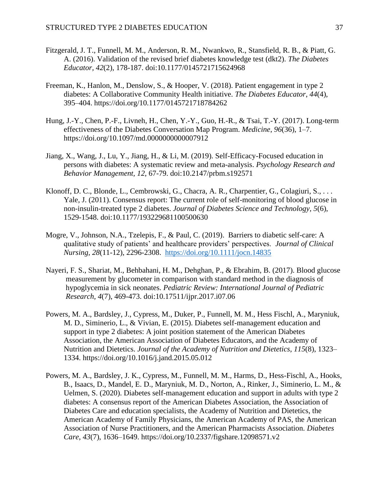- Fitzgerald, J. T., Funnell, M. M., Anderson, R. M., Nwankwo, R., Stansfield, R. B., & Piatt, G. A. (2016). Validation of the revised brief diabetes knowledge test (dkt2). *The Diabetes Educator, 42*(2), 178-187. doi:10.1177/0145721715624968
- Freeman, K., Hanlon, M., Denslow, S., & Hooper, V. (2018). Patient engagement in type 2 diabetes: A Collaborative Community Health initiative. *The Diabetes Educator*, *44*(4), 395–404. https://doi.org/10.1177/0145721718784262
- Hung, J.-Y., Chen, P.-F., Livneh, H., Chen, Y.-Y., Guo, H.-R., & Tsai, T.-Y. (2017). Long-term effectiveness of the Diabetes Conversation Map Program. *Medicine*, *96*(36), 1–7. https://doi.org/10.1097/md.0000000000007912
- Jiang, X., Wang, J., Lu, Y., Jiang, H., & Li, M. (2019). Self-Efficacy-Focused education in persons with diabetes: A systematic review and meta-analysis. *Psychology Research and Behavior Management, 12*, 67-79. doi:10.2147/prbm.s192571
- Klonoff, D. C., Blonde, L., Cembrowski, G., Chacra, A. R., Charpentier, G., Colagiuri, S., . . . Yale, J. (2011). Consensus report: The current role of self-monitoring of blood glucose in non-insulin-treated type 2 diabetes. *Journal of Diabetes Science and Technology, 5*(6), 1529-1548. doi:10.1177/193229681100500630
- Mogre, V., Johnson, N.A., Tzelepis, F., & Paul, C. (2019). Barriers to diabetic self-care: A qualitative study of patients' and healthcare providers' perspectives. *Journal of Clinical Nursing, 28*(11-12), 2296-2308. <https://doi.org/10.1111/jocn.14835>
- Nayeri, F. S., Shariat, M., Behbahani, H. M., Dehghan, P., & Ebrahim, B. (2017). Blood glucose measurement by glucometer in comparison with standard method in the diagnosis of hypoglycemia in sick neonates. *Pediatric Review: International Journal of Pediatric Research, 4*(7), 469-473. doi:10.17511/ijpr.2017.i07.06
- Powers, M. A., Bardsley, J., Cypress, M., Duker, P., Funnell, M. M., Hess Fischl, A., Maryniuk, M. D., Siminerio, L., & Vivian, E. (2015). Diabetes self-management education and support in type 2 diabetes: A joint position statement of the American Diabetes Association, the American Association of Diabetes Educators, and the Academy of Nutrition and Dietetics. *Journal of the Academy of Nutrition and Dietetics*, *115*(8), 1323– 1334. https://doi.org/10.1016/j.jand.2015.05.012
- Powers, M. A., Bardsley, J. K., Cypress, M., Funnell, M. M., Harms, D., Hess-Fischl, A., Hooks, B., Isaacs, D., Mandel, E. D., Maryniuk, M. D., Norton, A., Rinker, J., Siminerio, L. M., & Uelmen, S. (2020). Diabetes self-management education and support in adults with type 2 diabetes: A consensus report of the American Diabetes Association, the Association of Diabetes Care and education specialists, the Academy of Nutrition and Dietetics, the American Academy of Family Physicians, the American Academy of PAS, the American Association of Nurse Practitioners, and the American Pharmacists Association. *Diabetes Care*, *43*(7), 1636–1649. https://doi.org/10.2337/figshare.12098571.v2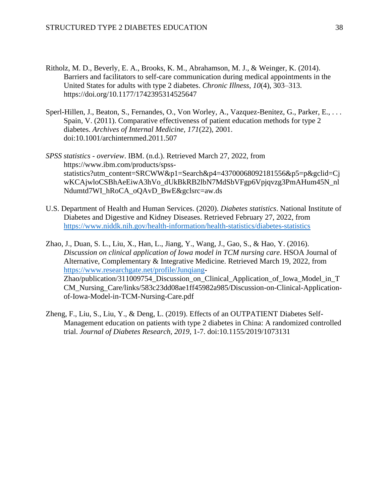- Ritholz, M. D., Beverly, E. A., Brooks, K. M., Abrahamson, M. J., & Weinger, K. (2014). Barriers and facilitators to self-care communication during medical appointments in the United States for adults with type 2 diabetes. *Chronic Illness*, *10*(4), 303–313. https://doi.org/10.1177/1742395314525647
- Sperl-Hillen, J., Beaton, S., Fernandes, O., Von Worley, A., Vazquez-Benitez, G., Parker, E., ... Spain, V. (2011). Comparative effectiveness of patient education methods for type 2 diabetes. *Archives of Internal Medicine, 171*(22), 2001. doi:10.1001/archinternmed.2011.507
- *SPSS statistics - overview*. IBM. (n.d.). Retrieved March 27, 2022, from https://www.ibm.com/products/spssstatistics?utm\_content=SRCWW&p1=Search&p4=43700068092181556&p5=p&gclid=Cj wKCAjwloCSBhAeEiwA3hVo\_dUkBkRB2lbN7MdSbVFgp6Vpjqvzg3PmAHum45N\_nl Ndumtd7WI\_hRoCA\_oQAvD\_BwE&gclsrc=aw.ds
- U.S. Department of Health and Human Services. (2020). *Diabetes statistics*. National Institute of Diabetes and Digestive and Kidney Diseases. Retrieved February 27, 2022, from <https://www.niddk.nih.gov/health-information/health-statistics/diabetes-statistics>
- Zhao, J., Duan, S. L., Liu, X., Han, L., Jiang, Y., Wang, J., Gao, S., & Hao, Y. (2016). *Discussion on clinical application of Iowa model in TCM nursing care*. HSOA Journal of Alternative, Complementary & Integrative Medicine. Retrieved March 19, 2022, from [https://www.researchgate.net/profile/Junqiang-](https://www.researchgate.net/profile/Junqiang)Zhao/publication/311009754\_Discussion\_on\_Clinical\_Application\_of\_Iowa\_Model\_in\_T CM\_Nursing\_Care/links/583c23dd08ae1ff45982a985/Discussion-on-Clinical-Applicationof-Iowa-Model-in-TCM-Nursing-Care.pdf
- Zheng, F., Liu, S., Liu, Y., & Deng, L. (2019). Effects of an OUTPATIENT Diabetes Self-Management education on patients with type 2 diabetes in China: A randomized controlled trial. *Journal of Diabetes Research, 2019*, 1-7. doi:10.1155/2019/1073131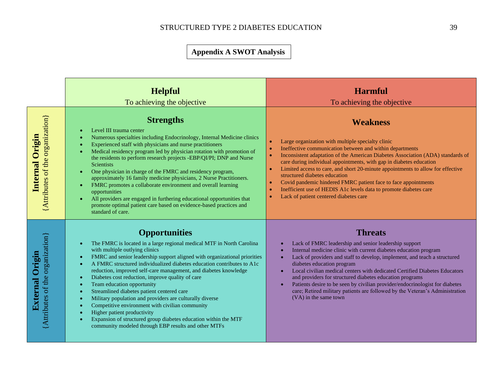## **Appendix A SWOT Analysis**

|                                                            | <b>Helpful</b>                                                                                                                                                                                                                                                                                                                                                                                                                                                                                                                                                                                                                                                                                                                                                                                                                                                                                        | <b>Harmful</b>                                                                                                                                                                                                                                                                                                                                                                                                                                                                                                                                                                                                            |
|------------------------------------------------------------|-------------------------------------------------------------------------------------------------------------------------------------------------------------------------------------------------------------------------------------------------------------------------------------------------------------------------------------------------------------------------------------------------------------------------------------------------------------------------------------------------------------------------------------------------------------------------------------------------------------------------------------------------------------------------------------------------------------------------------------------------------------------------------------------------------------------------------------------------------------------------------------------------------|---------------------------------------------------------------------------------------------------------------------------------------------------------------------------------------------------------------------------------------------------------------------------------------------------------------------------------------------------------------------------------------------------------------------------------------------------------------------------------------------------------------------------------------------------------------------------------------------------------------------------|
|                                                            | To achieving the objective                                                                                                                                                                                                                                                                                                                                                                                                                                                                                                                                                                                                                                                                                                                                                                                                                                                                            | To achieving the objective                                                                                                                                                                                                                                                                                                                                                                                                                                                                                                                                                                                                |
| (Attributes of the organization)<br><b>Internal Origin</b> | <b>Strengths</b><br>Level III trauma center<br>Numerous specialties including Endocrinology, Internal Medicine clinics<br>Experienced staff with physicians and nurse practitioners<br>Medical residency program led by physician rotation with promotion of<br>the residents to perform research projects -EBP/QI/PI; DNP and Nurse<br>Scientists<br>One physician in charge of the FMRC and residency program,<br>$\bullet$<br>approximately 16 family medicine physicians, 2 Nurse Practitioners.<br>FMRC promotes a collaborate environment and overall learning<br>$\bullet$<br>opportunities<br>All providers are engaged in furthering educational opportunities that<br>$\bullet$<br>promote optimal patient care based on evidence-based practices and<br>standard of care.                                                                                                                  | <b>Weakness</b><br>Large organization with multiple specialty clinic<br>Ineffective communication between and within departments<br>$\bullet$<br>Inconsistent adaptation of the American Diabetes Association (ADA) standards of<br>$\bullet$<br>care during individual appointments, with gap in diabetes education<br>Limited access to care, and short 20-minute appointments to allow for effective<br>structured diabetes education<br>Covid pandemic hindered FMRC patient face to face appointments<br>Inefficient use of HEDIS A1c levels data to promote diabetes care<br>Lack of patient centered diabetes care |
| (Attributes of the organization)<br><b>External Origin</b> | <b>Opportunities</b><br>The FMRC is located in a large regional medical MTF in North Carolina<br>$\bullet$<br>with multiple outlying clinics<br>FMRC and senior leadership support aligned with organizational priorities<br>$\bullet$<br>A FMRC structured individualized diabetes education contributes to A1c<br>$\bullet$<br>reduction, improved self-care management, and diabetes knowledge<br>Diabetes cost reduction, improve quality of care<br>$\bullet$<br>Team education opportunity<br>$\bullet$<br>Streamlined diabetes patient centered care<br>$\bullet$<br>Military population and providers are culturally diverse<br>$\bullet$<br>Competitive environment with civilian community<br>$\bullet$<br>Higher patient productivity<br>$\bullet$<br>Expansion of structured group diabetes education within the MTF<br>$\bullet$<br>community modeled through EBP results and other MTFs | <b>Threats</b><br>Lack of FMRC leadership and senior leadership support<br>Internal medicine clinic with current diabetes education program<br>Lack of providers and staff to develop, implement, and teach a structured<br>$\bullet$<br>diabetes education program<br>Local civilian medical centers with dedicated Certified Diabetes Educators<br>and providers for structured diabetes education programs<br>Patients desire to be seen by civilian provider/endocrinologist for diabetes<br>care; Retired military patients are followed by the Veteran's Administration<br>(VA) in the same town                    |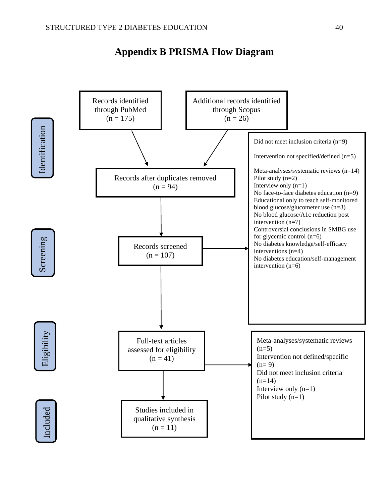Records identified Additional records identified through PubMed through Scopus  $(n = 175)$  $(n = 26)$ Identification Included Eligibility Screening Identification Did not meet inclusion criteria (n=9) Intervention not specified/defined (n=5) Meta-analyses/systematic reviews (n=14) Records after duplicates removed Pilot study (n=2) Interview only (n=1)  $(n = 94)$ No face-to-face diabetes education (n=9) Educational only to teach self-monitored blood glucose/glucometer use (n=3) No blood glucose/A1c reduction post intervention (n=7) Controversial conclusions in SMBG use for glycemic control (n=6) Screening No diabetes knowledge/self-efficacy Records screened interventions (n=4)  $(n = 107)$ No diabetes education/self-management intervention (n=6) Eligibility Full-text articles Meta-analyses/systematic reviews  $(n=5)$ assessed for eligibility Intervention not defined/specific  $(n = 41)$  $(n= 9)$ Did not meet inclusion criteria  $(n=14)$ Interview only (n=1) Pilot study (n=1) Studies included in ncluded qualitative synthesis  $(n = 11)$ 

## **Appendix B PRISMA Flow Diagram**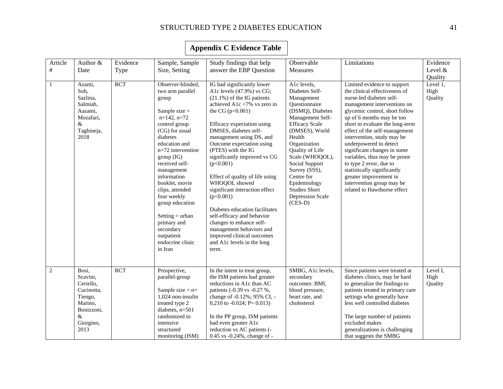| Article<br>$\#$ | Author $&$<br>Date                                                                                            | Evidence<br>Type | Sample, Sample<br>Size, Setting                                                                                                                                                                                                                                                                                                                                                                                | Study findings that help<br>answer the EBP Question                                                                                                                                                                                                                                                                                                                                                                                                                                                                                                                                                                              | Observable<br>Measures                                                                                                                                                                                                                                                                                                                           | Limitations                                                                                                                                                                                                                                                                                                                                                                                                                                                                                                                       | Evidence<br>Level &<br>Quality |
|-----------------|---------------------------------------------------------------------------------------------------------------|------------------|----------------------------------------------------------------------------------------------------------------------------------------------------------------------------------------------------------------------------------------------------------------------------------------------------------------------------------------------------------------------------------------------------------------|----------------------------------------------------------------------------------------------------------------------------------------------------------------------------------------------------------------------------------------------------------------------------------------------------------------------------------------------------------------------------------------------------------------------------------------------------------------------------------------------------------------------------------------------------------------------------------------------------------------------------------|--------------------------------------------------------------------------------------------------------------------------------------------------------------------------------------------------------------------------------------------------------------------------------------------------------------------------------------------------|-----------------------------------------------------------------------------------------------------------------------------------------------------------------------------------------------------------------------------------------------------------------------------------------------------------------------------------------------------------------------------------------------------------------------------------------------------------------------------------------------------------------------------------|--------------------------------|
| $\mathbf{1}$    | Azami,<br>Soh,<br>Sazlina,<br>Salmiah,<br>Aazami,<br>Mozafari,<br>&<br>Taghineja,<br>2018                     | <b>RCT</b>       | Observer-blinded,<br>two arm parallel<br>group<br>Sample size $=$<br>$n=142$ , $n=72$<br>control group<br>(CG) for usual<br>diabetes<br>education and<br>$n=72$ intervention<br>group (IG)<br>received self-<br>management<br>information<br>booklet, movie<br>clips, attended<br>four weekly<br>group education<br>$Setting = urban$<br>primary and<br>secondary<br>outpatient<br>endocrine clinic<br>in Iran | IG had significantly lower<br>A1c levels (47.9%) vs CG;<br>$(21.1\%)$ of the IG patients<br>achieved A1c <7% vs zero in<br>the CG $(p<0.001)$<br>Efficacy expectation using<br>DMSES, diabetes self-<br>management using DS, and<br>Outcome expectation using<br>(PTES) with the IG<br>significantly improved vs CG<br>(p<0.001)<br>Effect of quality of life using<br>WHOQOL showed<br>significant interaction effect<br>(p<0.001)<br>Diabetes education facilitates<br>self-efficacy and behavior<br>changes to enhance self-<br>management behaviors and<br>improved clinical outcomes<br>and A1c levels in the long<br>term. | A1c levels,<br>Diabetes Self-<br>Management<br>Questionnaire<br>(DSMQ), Diabetes<br>Management Self-<br><b>Efficacy Scale</b><br>(DMSES), World<br>Health<br>Organization<br>Quality of Life<br>Scale (WHOQOL),<br>Social Support<br>Survey (SSS),<br>Centre for<br>Epidemiology<br><b>Studies Short</b><br><b>Depression Scale</b><br>$(CES-D)$ | Limited evidence to support<br>the clinical effectiveness of<br>nurse-led diabetes self-<br>management interventions on<br>glycemic control, short follow<br>up of 6 months may be too<br>short to evaluate the long-term<br>effect of the self-management<br>intervention, study may be<br>underpowered to detect<br>significant changes in some<br>variables, thus may be prone<br>to type 2 error, due to<br>statistically significantly<br>greater improvement in<br>intervention group may be<br>related to Hawthorne effect | Level 1,<br>High<br>Quality    |
| $\sqrt{2}$      | Bosi,<br>Scavini,<br>Ceriello,<br>Cucinotta,<br>Tiengo,<br>Marino,<br>Bonizzoni,<br>$\&$<br>Giorgino,<br>2013 | <b>RCT</b>       | Prospective,<br>parallel-group<br>Sample size $=$ n=<br>1.024 non-insulin<br>treated type 2<br>diabetes, $n=501$<br>randomized to<br>intensive<br>structured<br>monitoring (ISM)                                                                                                                                                                                                                               | In the intent to treat group,<br>the ISM patients had greater<br>reductions in A1c than AC<br>patients (-0.39 vs -0.27 %,<br>change of -0.12%; 95% CI, -<br>0,210 to -0.024; P= 0.013)<br>In the PP group, ISM patients<br>had even greater A1c<br>reduction vs AC patients (-<br>$0.45$ vs $-0.24\%$ , change of $-$                                                                                                                                                                                                                                                                                                            | SMBG, A1c levels,<br>secondary<br>outcomes: BMI,<br>blood pressure,<br>heart rate, and<br>cholesterol                                                                                                                                                                                                                                            | Since patients were treated at<br>diabetes clinics, may be hard<br>to generalize the findings to<br>patients treated in primary care<br>settings who generally have<br>less well controlled diabetes<br>The large number of patients<br>excluded makes<br>generalizations is challenging<br>that suggests the SMBG                                                                                                                                                                                                                | Level I,<br>High<br>Quality    |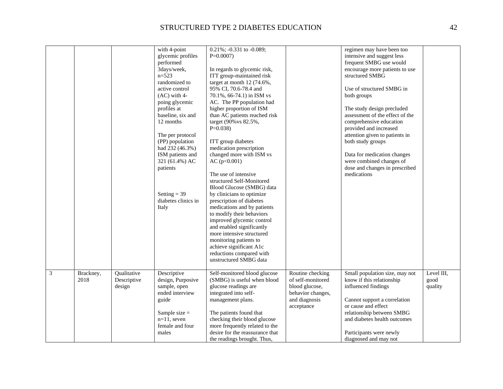|                |                   |                                      | with 4-point<br>glycemic profiles<br>performed<br>3days/week,<br>$n = 523$<br>randomized to<br>active control<br>$(AC)$ with 4-<br>poing glycemic<br>profiles at<br>baseline, six and<br>12 months<br>The per protocol<br>(PP) population<br>had 232 (46.3%)<br>ISM patients and<br>321 (61.4%) AC<br>patients<br>Setting = $39$<br>diabetes clinics in<br>Italy | 0.21%; -0.331 to -0.089;<br>$P=0.0007$ )<br>In regards to glycemic risk,<br>ITT group-maintained risk<br>target at month 12 (74.6%,<br>95% CI, 70.6-78.4 and<br>70.1%, 66-74.1) in ISM vs<br>AC. The PP population had<br>higher proportion of ISM<br>than AC patients reached risk<br>target (90% vs 82.5%,<br>$P=0.038$<br>ITT group diabetes<br>medication prescription<br>changed more with ISM vs<br>AC (p<0.001)<br>The use of intensive<br>structured Self-Monitored<br>Blood Glucose (SMBG) data<br>by clinicians to optimize<br>prescription of diabetes<br>medications and by patients<br>to modify their behaviors<br>improved glycemic control<br>and enabled significantly<br>more intensive structured<br>monitoring patients to<br>achieve significant A1c<br>reductions compared with<br>unstructured SMBG data |                                                                                                             | regimen may have been too<br>intensive and suggest less<br>frequent SMBG use would<br>encourage more patients to use<br>structured SMBG<br>Use of structured SMBG in<br>both groups<br>The study design precluded<br>assessment of the effect of the<br>comprehensive education<br>provided and increased<br>attention given to patients in<br>both study groups<br>Data for medication changes<br>were combined changes of<br>dose and changes in prescribed<br>medications |                               |
|----------------|-------------------|--------------------------------------|------------------------------------------------------------------------------------------------------------------------------------------------------------------------------------------------------------------------------------------------------------------------------------------------------------------------------------------------------------------|---------------------------------------------------------------------------------------------------------------------------------------------------------------------------------------------------------------------------------------------------------------------------------------------------------------------------------------------------------------------------------------------------------------------------------------------------------------------------------------------------------------------------------------------------------------------------------------------------------------------------------------------------------------------------------------------------------------------------------------------------------------------------------------------------------------------------------|-------------------------------------------------------------------------------------------------------------|------------------------------------------------------------------------------------------------------------------------------------------------------------------------------------------------------------------------------------------------------------------------------------------------------------------------------------------------------------------------------------------------------------------------------------------------------------------------------|-------------------------------|
| $\overline{3}$ | Brackney,<br>2018 | Qualitative<br>Descriptive<br>design | Descriptive<br>design, Purposive<br>sample, open<br>ended interview<br>guide<br>Sample size $=$<br>$n=11$ , seven<br>female and four<br>males                                                                                                                                                                                                                    | Self-monitored blood glucose<br>(SMBG) is useful when blood<br>glucose readings are<br>integrated into self-<br>management plans.<br>The patients found that<br>checking their blood glucose<br>more frequently related to the<br>desire for the reassurance that<br>the readings brought. Thus,                                                                                                                                                                                                                                                                                                                                                                                                                                                                                                                                | Routine checking<br>of self-monitored<br>blood glucose,<br>behavior changes,<br>and diagnosis<br>acceptance | Small population size, may not<br>know if this relationship<br>influenced findings<br>Cannot support a correlation<br>or cause and effect<br>relationship between SMBG<br>and diabetes health outcomes<br>Participants were newly<br>diagnosed and may not                                                                                                                                                                                                                   | Level III,<br>good<br>quality |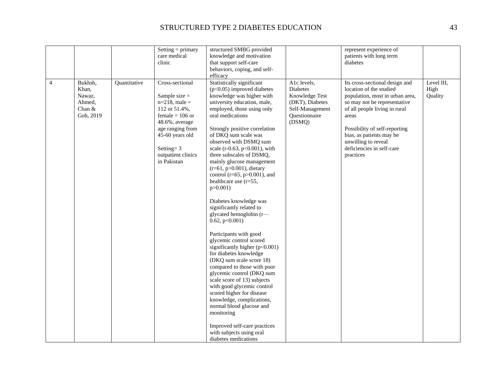|                                                                                               | $Setting = primary$<br>care medical<br>clinic                                                                                                                                                              | structured SMBG provided<br>knowledge and motivation<br>that support self-care<br>behaviors, coping, and self-<br>efficacy                                                                                                                                                                                                                                                                                                                                                                                                                                                                                                                                                                                                                                                                                                                                                                                                                                                                                                                |                                                                                                                   | represent experience of<br>patients with long term<br>diabetes                                                                                                                                                                                                                                       |                               |
|-----------------------------------------------------------------------------------------------|------------------------------------------------------------------------------------------------------------------------------------------------------------------------------------------------------------|-------------------------------------------------------------------------------------------------------------------------------------------------------------------------------------------------------------------------------------------------------------------------------------------------------------------------------------------------------------------------------------------------------------------------------------------------------------------------------------------------------------------------------------------------------------------------------------------------------------------------------------------------------------------------------------------------------------------------------------------------------------------------------------------------------------------------------------------------------------------------------------------------------------------------------------------------------------------------------------------------------------------------------------------|-------------------------------------------------------------------------------------------------------------------|------------------------------------------------------------------------------------------------------------------------------------------------------------------------------------------------------------------------------------------------------------------------------------------------------|-------------------------------|
| $\overline{4}$<br>Bukhsh,<br>Quantitative<br>Khan,<br>Nawaz,<br>Ahmed,<br>Chan &<br>Goh, 2019 | Cross-sectional<br>Sample size $=$<br>$n=218$ , male =<br>112 or 51.4%,<br>female = $106$ or<br>48.6%, average<br>age ranging from<br>45-60 years old<br>Setting= $3$<br>outpatient clinics<br>in Pakistan | Statistically significant<br>$(p<0.05)$ improved diabetes<br>knowledge was higher with<br>university education, male,<br>employed, those using only<br>oral medications<br>Strongly positive correlation<br>of DKQ sum scale was<br>observed with DSMQ sum<br>scale (r-0.63, p<0.001), with<br>three subscales of DSMQ,<br>mainly glucose management<br>$(r=61, p>0.001)$ , dietary<br>control ( $r=65$ , $p>0.001$ ), and<br>healthcare use (r=55,<br>p > 0.001<br>Diabetes knowledge was<br>significantly related to<br>glycated hemoglobin (r-<br>$0.62$ , $p<0.001$ )<br>Participants with good<br>glycemic control scored<br>significantly higher $(p<0.001)$<br>for diabetes knowledge<br>(DKQ sum scale score 18)<br>compared to those with poor<br>glycemic control (DKQ sum<br>scale score of 13) subjects<br>with good glycemic control<br>scored higher for disease<br>knowledge, complications,<br>normal blood glucose and<br>monitoring<br>Improved self-care practices<br>with subjects using oral<br>diabetes medications | A1c levels,<br><b>Diabetes</b><br>Knowledge Test<br>(DKT), Diabetes<br>Self-Management<br>Questionnaire<br>(DSMQ) | Its cross-sectional design and<br>location of the studied<br>population, most in urban area,<br>so may not be representative<br>of all people living in rural<br>areas<br>Possibility of self-reporting<br>bias, as patients may be<br>unwilling to reveal<br>deficiencies in self-care<br>practices | Level III,<br>High<br>Quality |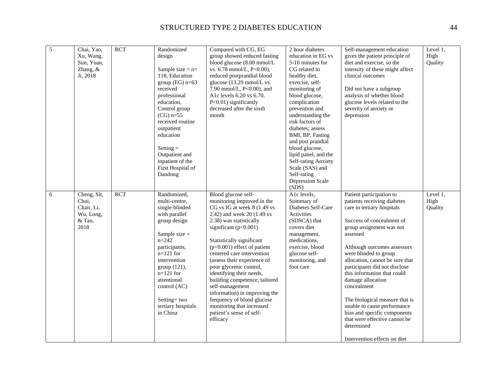| $\overline{5}$ | Chai, Yao,<br>Xu, Wang,<br>Sun, Yuan,<br>Zhang, &<br>Ji, 2018     | <b>RCT</b> | Randomized<br>design<br>Sample size $=$ n=<br>118, Education<br>group (EG) $n=63$<br>received<br>professional<br>education,<br>Control group<br>$(CG)$ n=55<br>received routine<br>outpatient<br>education<br>Setting $=$<br>Outpatient and<br>inpatient of the<br>First Hospital of<br>Dandong | Compared with CG, EG<br>group showed reduced fasting<br>blood glucose (8.00 mmol/L<br>vs. 6.78 mmol/L, P<0.00),<br>reduced postprandial blood<br>glucose (13.29 mmol/L vs.<br>7.90 mmol/L, P<0.00), and<br>A1c levels 6.20 vs 6.70,<br>P<0.01) significantly<br>decreased after the sixth<br>month                                                                                                                                                                                                                                            | 2 hour diabetes<br>education in EG vs<br>5-10 minutes for<br>CG related to<br>healthy diet,<br>exercise, self-<br>monitoring of<br>blood glucose,<br>complication<br>prevention and<br>understanding the<br>risk factors of<br>diabetes; assess<br>BMI, BP, Fasting<br>and post prandial<br>blood glucose,<br>lipid panel, and the<br>Self-rating Anxiety<br>Scale (SAS) and<br>Self-rating<br><b>Depression Scale</b><br>(SDS) | Self-management education<br>gives the patient principle of<br>diet and exercise, so the<br>intensity of these might affect<br>clinical outcomes<br>Did not have a subgroup<br>analysis of whether blood<br>glucose levels related to the<br>severity of anxiety or<br>depression                                                                                                                                                                                                                                                         | Level 1,<br>High<br>Quality |
|----------------|-------------------------------------------------------------------|------------|-------------------------------------------------------------------------------------------------------------------------------------------------------------------------------------------------------------------------------------------------------------------------------------------------|-----------------------------------------------------------------------------------------------------------------------------------------------------------------------------------------------------------------------------------------------------------------------------------------------------------------------------------------------------------------------------------------------------------------------------------------------------------------------------------------------------------------------------------------------|---------------------------------------------------------------------------------------------------------------------------------------------------------------------------------------------------------------------------------------------------------------------------------------------------------------------------------------------------------------------------------------------------------------------------------|-------------------------------------------------------------------------------------------------------------------------------------------------------------------------------------------------------------------------------------------------------------------------------------------------------------------------------------------------------------------------------------------------------------------------------------------------------------------------------------------------------------------------------------------|-----------------------------|
| $\sqrt{6}$     | Cheng, Sit,<br>Choi,<br>Chair, Li,<br>Wu, Long,<br>& Tao,<br>2018 | <b>RCT</b> | Randomized,<br>multi-centre,<br>single-blinded<br>with parallel<br>group design<br>Sample size $=$<br>$n = 242$<br>participants,<br>$n=121$ for<br>intervention<br>group (121),<br>$n=121$ for<br>attentional<br>control (AC)<br>Setting=two<br>tertiary hospitals<br>in China                  | Blood glucose self-<br>monitoring improved in the<br>CG vs IG at week 8 (1.49 vs<br>2.42) and week 20 (1.49 vs<br>2.38) was statistically<br>significant $(p<0.001)$<br>Statistically significant<br>$(p<0.001)$ effect of patient<br>centered care intervention<br>(assess their experience of<br>poor glycemic control,<br>identifying their needs,<br>building competence, tailored<br>self-management<br>information) in improving the<br>frequency of blood glucose<br>monitoring that increased<br>patient's sense of self-<br>efficacy | A1c levels,<br>Summary of<br>Diabetes Self-Care<br>Activities<br>(SDSCA) that<br>covers diet<br>management,<br>medications,<br>exercise, blood<br>glucose self-<br>monitoring, and<br>foot care                                                                                                                                                                                                                                 | Patient participation to<br>patients receiving diabetes<br>care in tertiary hospitals<br>Success of concealment of<br>group assignment was not<br>assessed<br>Although outcomes assessors<br>were blinded to group<br>allocation, cannot be sure that<br>participants did not disclose<br>this information that could<br>damage allocation<br>concealment<br>The biological measure that is<br>unable to cause performance<br>bias and specific components<br>that were effective cannot be<br>determined<br>Intervention effects on diet | Level 1,<br>High<br>Quality |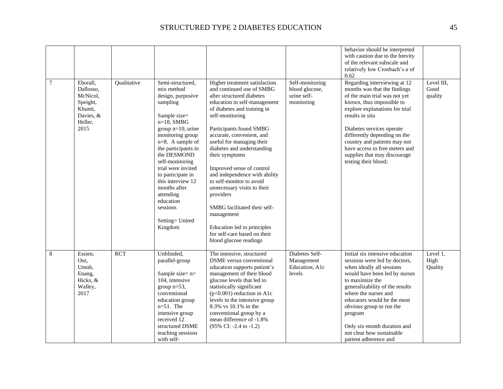|        |                                                                                          |             |                                                                                                                                                                                                                                                                                                                                                                               |                                                                                                                                                                                                                                                                                                                                                                                                                                                                                                                                                                                             |                                                                | behavior should be interpreted<br>with caution due to the brevity<br>of the relevant subscale and<br>relatively low Cronbach's a of<br>0.62                                                                                                                                                                                                                             |                               |
|--------|------------------------------------------------------------------------------------------|-------------|-------------------------------------------------------------------------------------------------------------------------------------------------------------------------------------------------------------------------------------------------------------------------------------------------------------------------------------------------------------------------------|---------------------------------------------------------------------------------------------------------------------------------------------------------------------------------------------------------------------------------------------------------------------------------------------------------------------------------------------------------------------------------------------------------------------------------------------------------------------------------------------------------------------------------------------------------------------------------------------|----------------------------------------------------------------|-------------------------------------------------------------------------------------------------------------------------------------------------------------------------------------------------------------------------------------------------------------------------------------------------------------------------------------------------------------------------|-------------------------------|
| $\tau$ | Eborall,<br>Dallosso,<br>McNicol,<br>Speight,<br>Khunti,<br>Davies, &<br>Heller,<br>2015 | Qualitative | Semi-structured,<br>mix method<br>design, purposive<br>sampling<br>Sample size=<br>$n=18$ , SMBG<br>group $n=10$ , urine<br>monitoring group<br>n=8. A sample of<br>the participants in<br>the DESMOND<br>self-monitoring<br>trial were invited<br>to participate in<br>this interview 12<br>months after<br>attending<br>education<br>sessions<br>Setting= United<br>Kingdom | Higher treatment satisfaction<br>and continued use of SMBG<br>after structured diabetes<br>education in self-management<br>of diabetes and training in<br>self-monitoring<br>Participants found SMBG<br>accurate, convenient, and<br>useful for managing their<br>diabetes and understanding<br>their symptoms<br>Improved sense of control<br>and independence with ability<br>to self-monitor to avoid<br>unnecessary visits to their<br>providers<br>SMBG facilitated their self-<br>management<br>Education led to principles<br>for self-care based on their<br>blood glucose readings | Self-monitoring<br>blood glucose,<br>urine self-<br>monitoring | Regarding interviewing at 12<br>months was that the findings<br>of the main trial was not yet<br>known, thus impossible to<br>explore explanations for trial<br>results in situ<br>Diabetes services operate<br>differently depending on the<br>country and patients may not<br>have access to free meters and<br>supplies that may discourage<br>testing their blood;  | Level III,<br>Good<br>quality |
| 8      | Essien,<br>Out,<br>Umoh,<br>Enang,<br>Hicks, &<br>Walley,<br>2017                        | <b>RCT</b>  | Unblinded,<br>parallel-group<br>Sample size= $n=$<br>104, intensive<br>group $n=53$ ,<br>conventional<br>education group<br>$n=51$ . The<br>intensive group<br>received 12<br>structured DSME<br>teaching sessions<br>with self-                                                                                                                                              | The intensive, structured<br><b>DSME</b> versus conventional<br>education supports patient's<br>management of their blood<br>glucose levels that led to<br>statistically significant<br>$(p<0.001)$ reduction in A1c<br>levels in the intensive group<br>8.3% vs 10.1% in the<br>conventional group by a<br>mean difference of -1.8%<br>$(95\% \text{ CI: } -2.4 \text{ to } -1.2)$                                                                                                                                                                                                         | Diabetes Self-<br>Management<br>Education, A1c<br>levels       | Initial six intensive education<br>sessions were led by doctors,<br>when ideally all sessions<br>would have been led by nurses<br>to maximize the<br>generalizability of the results<br>where the nurses and<br>educators would be the most<br>obvious group to run the<br>program<br>Only six-month duration and<br>not clear how sustainable<br>patient adherence and | Level 1,<br>High<br>Quality   |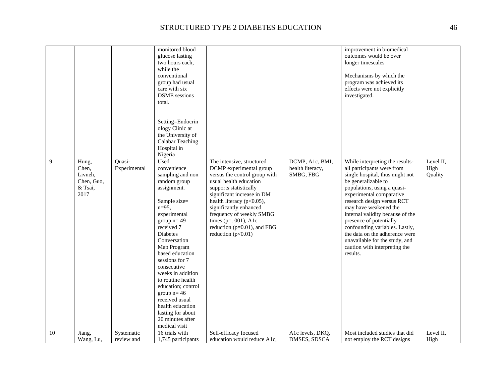|    |                                                            |                        | monitored blood<br>glucose lasting<br>two hours each,<br>while the<br>conventional<br>group had usual<br>care with six<br><b>DSME</b> sessions<br>total.<br>Setting=Endocrin<br>ology Clinic at<br>the University of<br>Calabar Teaching<br>Hospital in<br>Nigeria                                                                                                                                                                  |                                                                                                                                                                                                                                                                                                                                                     |                                                  | improvement in biomedical<br>outcomes would be over<br>longer timescales<br>Mechanisms by which the<br>program was achieved its<br>effects were not explicitly<br>investigated.                                                                                                                                                                                                                                                                             |                              |
|----|------------------------------------------------------------|------------------------|-------------------------------------------------------------------------------------------------------------------------------------------------------------------------------------------------------------------------------------------------------------------------------------------------------------------------------------------------------------------------------------------------------------------------------------|-----------------------------------------------------------------------------------------------------------------------------------------------------------------------------------------------------------------------------------------------------------------------------------------------------------------------------------------------------|--------------------------------------------------|-------------------------------------------------------------------------------------------------------------------------------------------------------------------------------------------------------------------------------------------------------------------------------------------------------------------------------------------------------------------------------------------------------------------------------------------------------------|------------------------------|
| 9  | Hung,<br>Chen,<br>Livneh,<br>Chen, Guo,<br>& Tsai,<br>2017 | Quasi-<br>Experimental | Used<br>convenience<br>sampling and non<br>random group<br>assignment.<br>Sample size=<br>$n=95$ ,<br>experimental<br>group $n = 49$<br>received 7<br>Diabetes<br>Conversation<br>Map Program<br>based education<br>sessions for 7<br>consecutive<br>weeks in addition<br>to routine health<br>education; control<br>group $n = 46$<br>received usual<br>health education<br>lasting for about<br>20 minutes after<br>medical visit | The intensive, structured<br>DCMP experimental group<br>versus the control group with<br>usual health education<br>supports statistically<br>significant increase in DM<br>health literacy (p<0.05),<br>significantly enhanced<br>frequency of weekly SMBG<br>times ( $p = 0.001$ ), A1c<br>reduction ( $p=0.01$ ), and FBG<br>reduction $(p<0.01)$ | DCMP, A1c, BMI,<br>health literacy,<br>SMBG, FBG | While interpreting the results-<br>all participants were from<br>single hospital, thus might not<br>be generalizable to<br>populations, using a quasi-<br>experimental comparative<br>research design versus RCT<br>may have weakened the<br>internal validity because of the<br>presence of potentially<br>confounding variables. Lastly,<br>the data on the adherence were<br>unavailable for the study, and<br>caution with interpreting the<br>results. | Level II,<br>High<br>Quality |
| 10 | Jiang,                                                     | Systematic             | 16 trials with                                                                                                                                                                                                                                                                                                                                                                                                                      | Self-efficacy focused                                                                                                                                                                                                                                                                                                                               | A1c levels, DKQ,                                 | Most included studies that did                                                                                                                                                                                                                                                                                                                                                                                                                              | Level II,                    |
|    | Wang, Lu,                                                  | review and             | 1,745 participants                                                                                                                                                                                                                                                                                                                                                                                                                  | education would reduce A1c,                                                                                                                                                                                                                                                                                                                         | DMSES, SDSCA                                     | not employ the RCT designs                                                                                                                                                                                                                                                                                                                                                                                                                                  | High                         |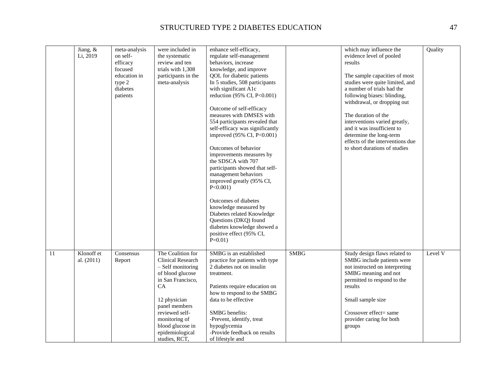|    | Jiang, &<br>Li, 2019       | meta-analysis<br>on self-<br>efficacy<br>focused<br>education in<br>type 2<br>diabetes<br>patients | were included in<br>the systematic<br>review and ten<br>trials with 1,308<br>participants in the<br>meta-analysis                                                                                                                        | enhance self-efficacy,<br>regulate self-management<br>behaviors, increase<br>knowledge, and improve<br>QOL for diabetic patients<br>In 5 studies, 508 participants<br>with significant A1c<br>reduction (95% CI, P<0.001)<br>Outcome of self-efficacy<br>measures with DMSES with<br>554 participants revealed that<br>self-efficacy was significantly<br>improved (95% CI, P<0.001) |             | which may influence the<br>evidence level of pooled<br>results<br>The sample capacities of most<br>studies were quite limited, and<br>a number of trials had the<br>following biases: blinding,<br>withdrawal, or dropping out<br>The duration of the<br>interventions varied greatly,<br>and it was insufficient to<br>determine the long-term<br>effects of the interventions due | Quality |
|----|----------------------------|----------------------------------------------------------------------------------------------------|------------------------------------------------------------------------------------------------------------------------------------------------------------------------------------------------------------------------------------------|--------------------------------------------------------------------------------------------------------------------------------------------------------------------------------------------------------------------------------------------------------------------------------------------------------------------------------------------------------------------------------------|-------------|-------------------------------------------------------------------------------------------------------------------------------------------------------------------------------------------------------------------------------------------------------------------------------------------------------------------------------------------------------------------------------------|---------|
|    |                            |                                                                                                    |                                                                                                                                                                                                                                          | Outcomes of behavior<br>improvements measures by<br>the SDSCA with 707<br>participants showed that self-<br>management behaviors<br>improved greatly (95% CI,<br>$P<0.001$ )<br>Outcomes of diabetes<br>knowledge measured by<br>Diabetes related Knowledge<br>Questions (DKQ) found<br>diabetes knowledge showed a<br>positive effect (95% CI,<br>$P=0.01$ )                        |             | to short durations of studies                                                                                                                                                                                                                                                                                                                                                       |         |
| 11 | Klonoff et<br>al. $(2011)$ | Consensus<br>Report                                                                                | The Coalition for<br>Clinical Research<br>$-$ Self monitoring<br>of blood glucose<br>in San Francisco,<br>CA<br>12 physician<br>panel members<br>reviewed self-<br>monitoring of<br>blood glucose in<br>epidemiological<br>studies, RCT, | SMBG is an established<br>practice for patients with type<br>2 diabetes not on insulin<br>treatment.<br>Patients require education on<br>how to respond to the SMBG<br>data to be effective<br><b>SMBG</b> benefits:<br>-Prevent, identify, treat<br>hypoglycemia<br>-Provide feedback on results<br>of lifestyle and                                                                | <b>SMBG</b> | Study design flaws related to<br>SMBG include patients were<br>not instructed on interpreting<br>SMBG meaning and not<br>permitted to respond to the<br>results<br>Small sample size<br>Crossover effect= same<br>provider caring for both<br>groups                                                                                                                                | Level V |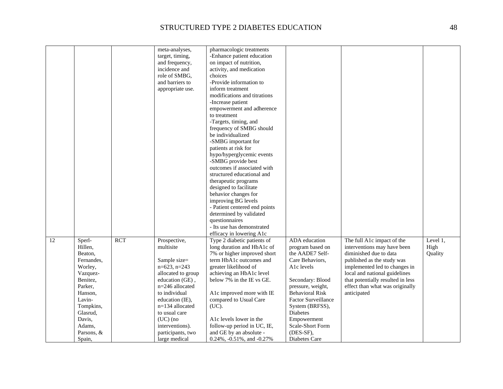|    |                                                                                           |            | meta-analyses,<br>target, timing,<br>and frequency,<br>incidence and<br>role of SMBG,<br>and barriers to<br>appropriate use. | pharmacologic treatments<br>-Enhance patient education<br>on impact of nutrition,<br>activity, and medication<br>choices<br>-Provide information to<br>inform treatment<br>modifications and titrations<br>-Increase patient<br>empowerment and adherence<br>to treatment<br>-Targets, timing, and<br>frequency of SMBG should<br>be individualized<br>-SMBG important for<br>patients at risk for<br>hypo/hyperglycemic events<br>-SMBG provide best<br>outcomes if associated with<br>structured educational and<br>therapeutic programs<br>designed to facilitate<br>behavior changes for<br>improving BG levels<br>- Patient centered end points<br>determined by validated<br>questionnaires |                                                                                                                                         |                                                                                                                                                                                                                                              |                 |
|----|-------------------------------------------------------------------------------------------|------------|------------------------------------------------------------------------------------------------------------------------------|---------------------------------------------------------------------------------------------------------------------------------------------------------------------------------------------------------------------------------------------------------------------------------------------------------------------------------------------------------------------------------------------------------------------------------------------------------------------------------------------------------------------------------------------------------------------------------------------------------------------------------------------------------------------------------------------------|-----------------------------------------------------------------------------------------------------------------------------------------|----------------------------------------------------------------------------------------------------------------------------------------------------------------------------------------------------------------------------------------------|-----------------|
|    |                                                                                           |            |                                                                                                                              | - Its use has demonstrated<br>efficacy in lowering A1c                                                                                                                                                                                                                                                                                                                                                                                                                                                                                                                                                                                                                                            |                                                                                                                                         |                                                                                                                                                                                                                                              |                 |
| 12 | Sperl-                                                                                    | <b>RCT</b> | Prospective,                                                                                                                 | Type 2 diabetic patients of                                                                                                                                                                                                                                                                                                                                                                                                                                                                                                                                                                                                                                                                       | ADA education                                                                                                                           | The full A1c impact of the                                                                                                                                                                                                                   | Level 1,        |
|    | Hillen,<br>Beaton.<br>Fernandes,<br>Worley,<br>Vazquez-<br>Benitez,<br>Parker,<br>Hanson, |            | multisite<br>Sample size=<br>$n=623$ , $n=243$<br>allocated to group<br>education (GE),<br>n=246 allocated<br>to individual  | long duration and HbA1c of<br>7% or higher improved short<br>term HbA1c outcomes and<br>greater likelihood of<br>achieving an HbA1c level<br>below 7% in the IE vs GE.<br>A1c improved more with IE                                                                                                                                                                                                                                                                                                                                                                                                                                                                                               | program based on<br>the AADE7 Self-<br>Care Behaviors,<br>A1c levels<br>Secondary: Blood<br>pressure, weight,<br><b>Behavioral Risk</b> | interventions may have been<br>diminished due to data<br>published as the study was<br>implemented led to changes in<br>local and national guidelines<br>that potentially resulted in less<br>effect than what was originally<br>anticipated | High<br>Quality |
|    | Lavin-<br>Tompkins,<br>Glasrud.<br>Davis,<br>Adams.<br>Parsons, &                         |            | education (IE),<br>$n=134$ allocated<br>to usual care<br>$(UC)$ (no<br>interventions).<br>participants, two                  | compared to Usual Care<br>(UC).<br>A1c levels lower in the<br>follow-up period in UC, IE,<br>and GE by an absolute -                                                                                                                                                                                                                                                                                                                                                                                                                                                                                                                                                                              | Factor Surveillance<br>System (BRFSS),<br>Diabetes<br>Empowerment<br>Scale-Short Form<br>(DES-SF),                                      |                                                                                                                                                                                                                                              |                 |
|    | Spain,                                                                                    |            | large medical                                                                                                                | 0.24%, -0.51%, and -0.27%                                                                                                                                                                                                                                                                                                                                                                                                                                                                                                                                                                                                                                                                         | Diabetes Care                                                                                                                           |                                                                                                                                                                                                                                              |                 |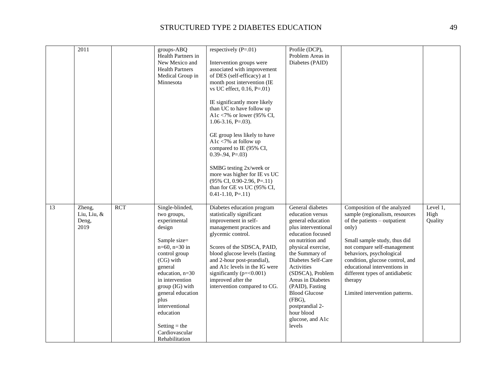|    | 2011                                      |            | groups-ABQ<br>Health Partners in<br>New Mexico and<br><b>Health Partners</b><br>Medical Group in<br>Minnesota                                                                                                                                                                                                         | respectively $(P=.01)$<br>Intervention groups were<br>associated with improvement<br>of DES (self-efficacy) at 1<br>month post intervention (IE<br>vs UC effect, 0.16, P=.01)<br>IE significantly more likely<br>than UC to have follow up<br>A1c <7% or lower (95% CI,<br>$1.06 - 3.16$ , P= $.03$ ).<br>GE group less likely to have<br>A1c <7% at follow up<br>compared to IE (95% CI,<br>$0.39 - .94, P = .03$<br>SMBG testing 2x/week or<br>more was higher for IE vs UC<br>$(95\% \text{ CI}, 0.90-2.96, P=.11)$<br>than for GE vs UC (95% CI,<br>$0.41 - 1.10$ , P=.11) | Profile (DCP),<br>Problem Areas in<br>Diabetes (PAID)                                                                                                                                                                                                                                                                                                              |                                                                                                                                                                                                                                                                                                                                                      |                             |
|----|-------------------------------------------|------------|-----------------------------------------------------------------------------------------------------------------------------------------------------------------------------------------------------------------------------------------------------------------------------------------------------------------------|--------------------------------------------------------------------------------------------------------------------------------------------------------------------------------------------------------------------------------------------------------------------------------------------------------------------------------------------------------------------------------------------------------------------------------------------------------------------------------------------------------------------------------------------------------------------------------|--------------------------------------------------------------------------------------------------------------------------------------------------------------------------------------------------------------------------------------------------------------------------------------------------------------------------------------------------------------------|------------------------------------------------------------------------------------------------------------------------------------------------------------------------------------------------------------------------------------------------------------------------------------------------------------------------------------------------------|-----------------------------|
| 13 | Zheng,<br>Liu, Liu, $\&$<br>Deng,<br>2019 | <b>RCT</b> | Single-blinded,<br>two groups,<br>experimental<br>design<br>Sample size=<br>$n=60$ , $n=30$ in<br>control group<br>(CG) with<br>general<br>education, $n=30$<br>in intervention<br>group (IG) with<br>general education<br>plus<br>interventional<br>education<br>Setting $=$ the<br>Cardiovascular<br>Rehabilitation | Diabetes education program<br>statistically significant<br>improvement in self-<br>management practices and<br>glycemic control.<br>Scores of the SDSCA, PAID,<br>blood glucose levels (fasting<br>and 2-hour post-prandial),<br>and A1c levels in the IG were<br>significantly ( $p = < 0.001$ )<br>improved after the<br>intervention compared to CG.                                                                                                                                                                                                                        | General diabetes<br>education versus<br>general education<br>plus interventional<br>education focused<br>on nutrition and<br>physical exercise,<br>the Summary of<br>Diabetes Self-Care<br>Activities<br>(SDSCA), Problem<br>Areas in Diabetes<br>(PAID), Fasting<br><b>Blood Glucose</b><br>(FBG),<br>postprandial 2-<br>hour blood<br>glucose, and A1c<br>levels | Composition of the analyzed<br>sample (regionalism, resources<br>of the patients - outpatient<br>only)<br>Small sample study, thus did<br>not compare self-management<br>behaviors, psychological<br>condition, glucose control, and<br>educational interventions in<br>different types of antidiabetic<br>therapy<br>Limited intervention patterns. | Level 1,<br>High<br>Quality |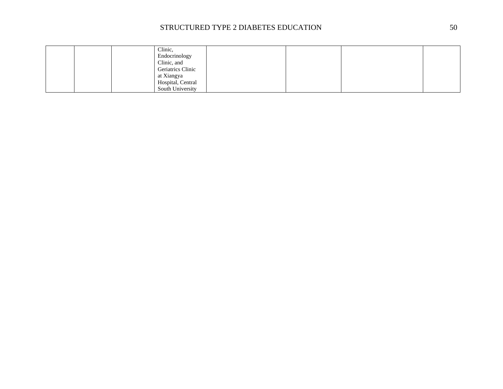|  | Clinic,<br>Endocrinology<br>Clinic, and<br>Geriatrics Clinic<br>at Xiangya<br>Hospital, Central |  |  |
|--|-------------------------------------------------------------------------------------------------|--|--|
|  | South University                                                                                |  |  |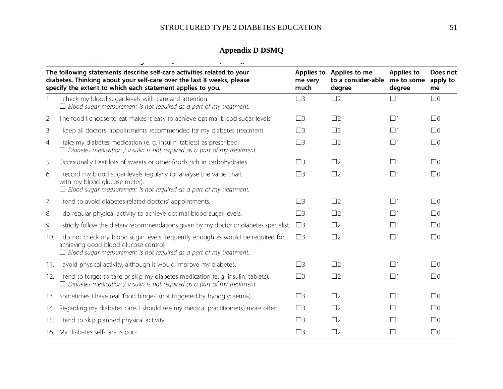## **Appendix D DSMQ**

|    | The following statements describe self-care activities related to your<br>diabetes. Thinking about your self-care over the last 8 weeks, please<br>specify the extent to which each statement applies to you. | me very<br>much | Applies to Applies to me<br>to a consider-able me to some<br>degree | Applies to<br>degree | Does not<br>apply to<br>me |
|----|---------------------------------------------------------------------------------------------------------------------------------------------------------------------------------------------------------------|-----------------|---------------------------------------------------------------------|----------------------|----------------------------|
| 1. | I check my blood sugar levels with care and attention.<br>$\Box$ Blood sugar measurement is not required as a part of my treatment.                                                                           | $\square$ 3     | $\square$                                                           | $\Box$ 1             | $\square$                  |
| 2. | The food I choose to eat makes it easy to achieve optimal blood sugar levels.                                                                                                                                 | $\square$ 3     | $\square$ 2                                                         | $\Box$ 1             | $\square$ 0                |
| 3. | I keep all doctors' appointments recommended for my diabetes treatment.                                                                                                                                       | $\square$ 3     | $\square$ 2                                                         | $\Box$ 1             | $\Box$ 0                   |
| 4. | I take my diabetes medication (e. g. insulin, tablets) as prescribed.<br>$\Box$ Diabetes medication / insulin is not required as a part of my treatment.                                                      | $\square$ 3     | $\square$                                                           | $\Box$ 1             | $\square$                  |
| 5. | Occasionally I eat lots of sweets or other foods rich in carbohydrates.                                                                                                                                       | $\square$ 3     | $\square$                                                           | $\Box$ 1             | $\square$                  |
| 6. | I record my blood sugar levels regularly (or analyse the value chart<br>with my blood glucose meter).<br>$\Box$ Blood sugar measurement is not required as a part of my treatment.                            | $\square$ 3     | $\square$                                                           | $\Box$ 1             | $\square$                  |
| 7. | I tend to avoid diabetes-related doctors' appointments.                                                                                                                                                       | $\square$ 3     | $\square$ 2                                                         | $\Box$ 1             | $\square$                  |
| 8. | I do regular physical activity to achieve optimal blood sugar levels.                                                                                                                                         | $\square$ 3     | $\square$                                                           | $\Box$ 1             | $\square$                  |
| 9. | I strictly follow the dietary recommendations given by my doctor or diabetes specialist.                                                                                                                      | $\square$ 3     | $\square$                                                           | $\Box$ 1             | $\Box$ 0                   |
|    | 10. I do not check my blood sugar levels frequently enough as would be required for<br>achieving good blood glucose control.<br>$\Box$ Blood sugar measurement is not required as a part of my treatment.     | $\square$ 3     | $\square$                                                           | $\Box$ 1             | $\square$                  |
|    | 11. I avoid physical activity, although it would improve my diabetes.                                                                                                                                         | $\square$ 3     | $\square$                                                           | $\Box$ 1             | $\square$                  |
|    | 12. I tend to forget to take or skip my diabetes medication (e. g. insulin, tablets).<br>$\Box$ Diabetes medication / insulin is not required as a part of my treatment.                                      | $\square$ 3     | $\square$                                                           | $\Box$ 1             | $\square$                  |
|    | 13. Sometimes I have real 'food binges' (not triggered by hypoglycaemia).                                                                                                                                     | $\square$ 3     | $\square$                                                           | $\Box$ 1             | $\square$                  |
|    | 14. Regarding my diabetes care, I should see my medical practitioner(s) more often.                                                                                                                           | $\square$ 3     | $\square$                                                           | $\Box$ 1             | $\square$                  |
|    | 15. I tend to skip planned physical activity.                                                                                                                                                                 | $\square$ 3     | $\square$                                                           | $\Box$ 1             | $\square$                  |
|    | 16. My diabetes self-care is poor.                                                                                                                                                                            | $\square$ 3     | $\square$                                                           | $\Box$ 1             | $\square$                  |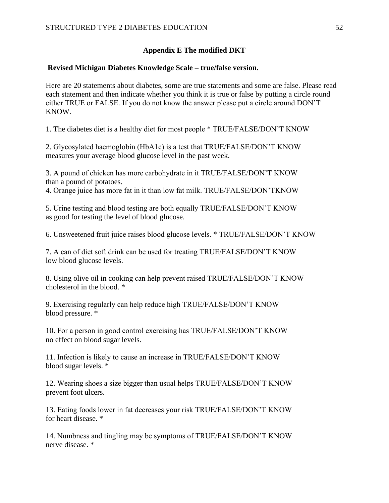### **Appendix E The modified DKT**

#### **Revised Michigan Diabetes Knowledge Scale – true/false version.**

Here are 20 statements about diabetes, some are true statements and some are false. Please read each statement and then indicate whether you think it is true or false by putting a circle round either TRUE or FALSE. If you do not know the answer please put a circle around DON'T KNOW.

1. The diabetes diet is a healthy diet for most people \* TRUE/FALSE/DON'T KNOW

2. Glycosylated haemoglobin (HbA1c) is a test that TRUE/FALSE/DON'T KNOW measures your average blood glucose level in the past week.

3. A pound of chicken has more carbohydrate in it TRUE/FALSE/DON'T KNOW than a pound of potatoes.

4. Orange juice has more fat in it than low fat milk. TRUE/FALSE/DON'TKNOW

5. Urine testing and blood testing are both equally TRUE/FALSE/DON'T KNOW as good for testing the level of blood glucose.

6. Unsweetened fruit juice raises blood glucose levels. \* TRUE/FALSE/DON'T KNOW

7. A can of diet soft drink can be used for treating TRUE/FALSE/DON'T KNOW low blood glucose levels.

8. Using olive oil in cooking can help prevent raised TRUE/FALSE/DON'T KNOW cholesterol in the blood. \*

9. Exercising regularly can help reduce high TRUE/FALSE/DON'T KNOW blood pressure. \*

10. For a person in good control exercising has TRUE/FALSE/DON'T KNOW no effect on blood sugar levels.

11. Infection is likely to cause an increase in TRUE/FALSE/DON'T KNOW blood sugar levels. \*

12. Wearing shoes a size bigger than usual helps TRUE/FALSE/DON'T KNOW prevent foot ulcers.

13. Eating foods lower in fat decreases your risk TRUE/FALSE/DON'T KNOW for heart disease. \*

14. Numbness and tingling may be symptoms of TRUE/FALSE/DON'T KNOW nerve disease. \*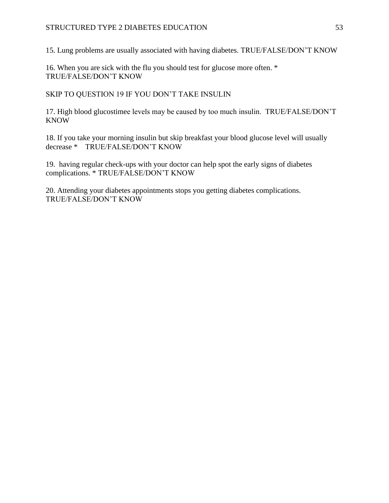15. Lung problems are usually associated with having diabetes. TRUE/FALSE/DON'T KNOW

16. When you are sick with the flu you should test for glucose more often. \* TRUE/FALSE/DON'T KNOW

SKIP TO QUESTION 19 IF YOU DON'T TAKE INSULIN

17. High blood glucostimee levels may be caused by too much insulin. TRUE/FALSE/DON'T **KNOW** 

18. If you take your morning insulin but skip breakfast your blood glucose level will usually decrease \* TRUE/FALSE/DON'T KNOW

19. having regular check-ups with your doctor can help spot the early signs of diabetes complications. \* TRUE/FALSE/DON'T KNOW

20. Attending your diabetes appointments stops you getting diabetes complications. TRUE/FALSE/DON'T KNOW